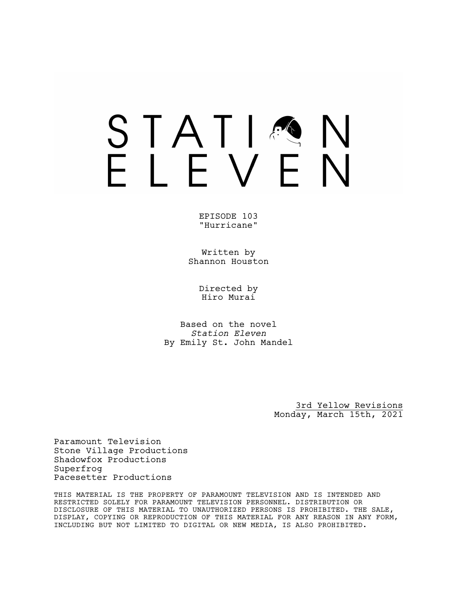### STATIA FIFVFN

EPISODE 103 "Hurricane"

Written by Shannon Houston

> Directed by Hiro Murai

Based on the novel *Station Eleven* By Emily St. John Mandel

> 3rd Yellow Revisions Monday, March 15th, 2021

Paramount Television Stone Village Productions Shadowfox Productions Superfrog Pacesetter Productions

THIS MATERIAL IS THE PROPERTY OF PARAMOUNT TELEVISION AND IS INTENDED AND RESTRICTED SOLELY FOR PARAMOUNT TELEVISION PERSONNEL. DISTRIBUTION OR DISCLOSURE OF THIS MATERIAL TO UNAUTHORIZED PERSONS IS PROHIBITED. THE SALE, DISPLAY, COPYING OR REPRODUCTION OF THIS MATERIAL FOR ANY REASON IN ANY FORM, INCLUDING BUT NOT LIMITED TO DIGITAL OR NEW MEDIA, IS ALSO PROHIBITED.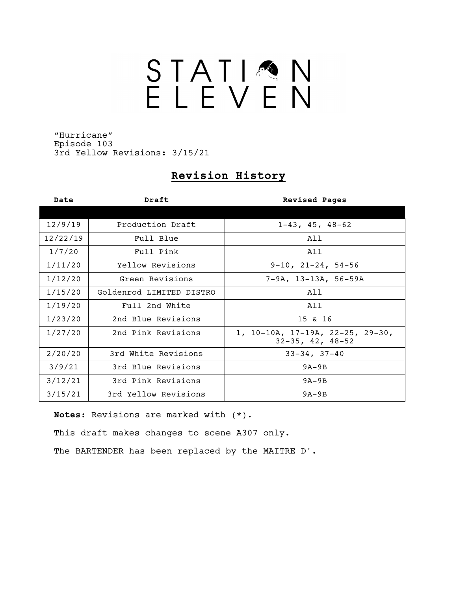## STATIQN

"Hurricane" Episode 103 3rd Yellow Revisions: 3/15/21

### **Revision History**

| Date     | Draft                    | <b>Revised Pages</b>                                         |
|----------|--------------------------|--------------------------------------------------------------|
|          |                          |                                                              |
| 12/9/19  | Production Draft         | $1-43$ , $45$ , $48-62$                                      |
| 12/22/19 | Full Blue                | All                                                          |
| 1/7/20   | Full Pink                | All                                                          |
| 1/11/20  | Yellow Revisions         | $9-10$ , $21-24$ , $54-56$                                   |
| 1/12/20  | Green Revisions          | $7-9A$ , $13-13A$ , 56-59A                                   |
| 1/15/20  | Goldenrod LIMITED DISTRO | All                                                          |
| 1/19/20  | Full 2nd White           | All                                                          |
| 1/23/20  | 2nd Blue Revisions       | 15 & 16                                                      |
| 1/27/20  | 2nd Pink Revisions       | 1, 10-10A, 17-19A, 22-25, 29-30,<br>$32-35$ , $42$ , $48-52$ |
| 2/20/20  | 3rd White Revisions      | $33 - 34, 37 - 40$                                           |
| 3/9/21   | 3rd Blue Revisions       | $9A-9B$                                                      |
| 3/12/21  | 3rd Pink Revisions       | $9A-9B$                                                      |
| 3/15/21  | 3rd Yellow Revisions     | $9A-9B$                                                      |

**Notes:** Revisions are marked with (\*).

This draft makes changes to scene A307 only.

The BARTENDER has been replaced by the MAITRE D'.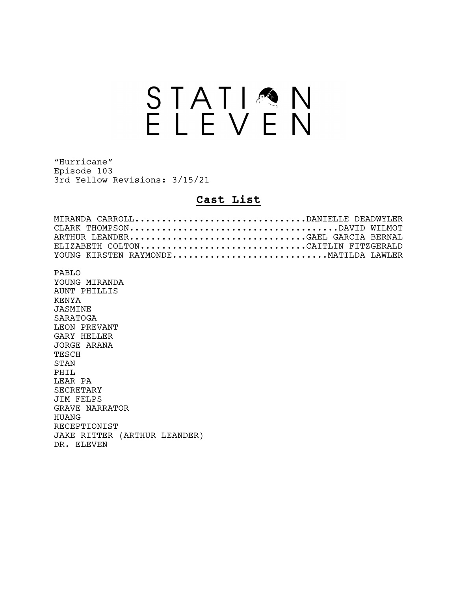## STATION<br>ELEVEN

"Hurricane" Episode 103 3rd Yellow Revisions: 3/15/21

### **Cast List**

| MIRANDA CARROLLDANIELLE DEADWYLER    |  |  |  |
|--------------------------------------|--|--|--|
|                                      |  |  |  |
| ARTHUR LEANDERGAEL GARCIA BERNAL     |  |  |  |
| ELIZABETH COLTONCAITLIN FITZGERALD   |  |  |  |
| YOUNG KIRSTEN RAYMONDEMATILDA LAWLER |  |  |  |
|                                      |  |  |  |
| PABLO                                |  |  |  |
| YOUNG MIRANDA                        |  |  |  |
| AUNT PHILLIS                         |  |  |  |
| KENYA                                |  |  |  |
| JASMINE                              |  |  |  |
| SARATOGA                             |  |  |  |
| LEON PREVANT                         |  |  |  |
| GARY HELLER                          |  |  |  |
| JORGE ARANA                          |  |  |  |
| TESCH                                |  |  |  |
| <b>STAN</b>                          |  |  |  |
| PHTT.                                |  |  |  |
| LEAR PA                              |  |  |  |
| <b>SECRETARY</b>                     |  |  |  |
| JIM FELPS                            |  |  |  |
| <b>GRAVE NARRATOR</b>                |  |  |  |
| HUANG                                |  |  |  |
| RECEPTIONIST                         |  |  |  |
| JAKE RITTER (ARTHUR LEANDER)         |  |  |  |
| DR. ELEVEN                           |  |  |  |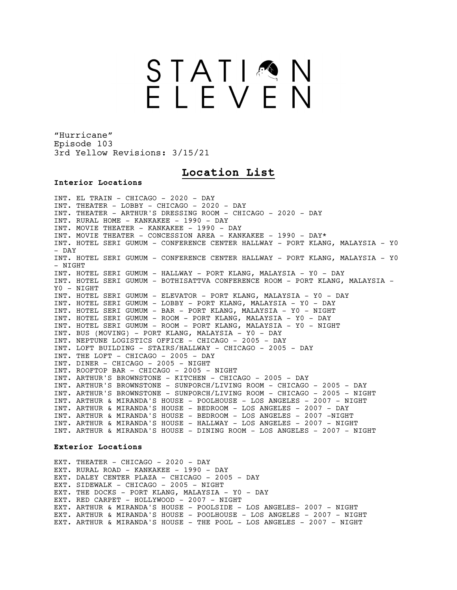### STATIMN<br>ELEVEN

"Hurricane" Episode 103 3rd Yellow Revisions: 3/15/21

### **Location List**

### **Interior Locations**

INT. EL TRAIN - CHICAGO - 2020 - DAY INT. THEATER - LOBBY - CHICAGO - 2020 - DAY INT. THEATER - ARTHUR'S DRESSING ROOM - CHICAGO - 2020 - DAY INT. RURAL HOME - KANKAKEE - 1990 - DAY INT. MOVIE THEATER - KANKAKEE - 1990 - DAY INT. MOVIE THEATER - CONCESSION AREA - KANKAKEE - 1990 - DAY\* INT. HOTEL SERI GUMUM - CONFERENCE CENTER HALLWAY - PORT KLANG, MALAYSIA - Y0 - DAY INT. HOTEL SERI GUMUM - CONFERENCE CENTER HALLWAY - PORT KLANG, MALAYSIA - Y0  $-$  NTGHT INT. HOTEL SERI GUMUM - HALLWAY - PORT KLANG, MALAYSIA - Y0 - DAY INT. HOTEL SERI GUMUM - BOTHISATTVA CONFERENCE ROOM - PORT KLANG, MALAYSIA - Y0 - NIGHT INT. HOTEL SERI GUMUM - ELEVATOR - PORT KLANG, MALAYSIA - Y0 - DAY INT. HOTEL SERI GUMUM - LOBBY - PORT KLANG, MALAYSIA - Y0 - DAY INT. HOTEL SERI GUMUM - BAR - PORT KLANG, MALAYSIA - Y0 - NIGHT INT. HOTEL SERI GUMUM - ROOM - PORT KLANG, MALAYSIA - Y0 - DAY INT. HOTEL SERI GUMUM - ROOM - PORT KLANG, MALAYSIA - Y0 - NIGHT INT. BUS (MOVING) - PORT KLANG, MALAYSIA - Y0 - DAY INT. NEPTUNE LOGISTICS OFFICE - CHICAGO - 2005 - DAY INT. LOFT BUILDING - STAIRS/HALLWAY - CHICAGO - 2005 - DAY INT. THE LOFT - CHICAGO - 2005 - DAY INT. DINER - CHICAGO - 2005 - NIGHT INT. ROOFTOP BAR - CHICAGO - 2005 - NIGHT INT. ARTHUR'S BROWNSTONE - KITCHEN - CHICAGO - 2005 - DAY INT. ARTHUR'S BROWNSTONE - SUNPORCH/LIVING ROOM - CHICAGO - 2005 - DAY INT. ARTHUR'S BROWNSTONE - SUNPORCH/LIVING ROOM - CHICAGO - 2005 - NIGHT INT. ARTHUR & MIRANDA'S HOUSE - POOLHOUSE - LOS ANGELES - 2007 - NIGHT INT. ARTHUR & MIRANDA'S HOUSE - BEDROOM - LOS ANGELES - 2007 - DAY INT. ARTHUR & MIRANDA'S HOUSE - BEDROOM - LOS ANGELES - 2007 -NIGHT INT. ARTHUR & MIRANDA'S HOUSE - HALLWAY - LOS ANGELES - 2007 - NIGHT INT. ARTHUR & MIRANDA'S HOUSE - DINING ROOM - LOS ANGELES - 2007 - NIGHT

### **Exterior Locations**

EXT. THEATER - CHICAGO - 2020 - DAY EXT. RURAL ROAD - KANKAKEE - 1990 - DAY EXT. DALEY CENTER PLAZA - CHICAGO - 2005 - DAY EXT. SIDEWALK - CHICAGO - 2005 - NIGHT EXT. THE DOCKS - PORT KLANG, MALAYSIA - YO - DAY EXT. RED CARPET - HOLLYWOOD - 2007 - NIGHT EXT. ARTHUR & MIRANDA'S HOUSE - POOLSIDE - LOS ANGELES- 2007 - NIGHT EXT. ARTHUR & MIRANDA'S HOUSE - POOLHOUSE - LOS ANGELES - 2007 - NIGHT EXT. ARTHUR & MIRANDA'S HOUSE - THE POOL - LOS ANGELES - 2007 - NIGHT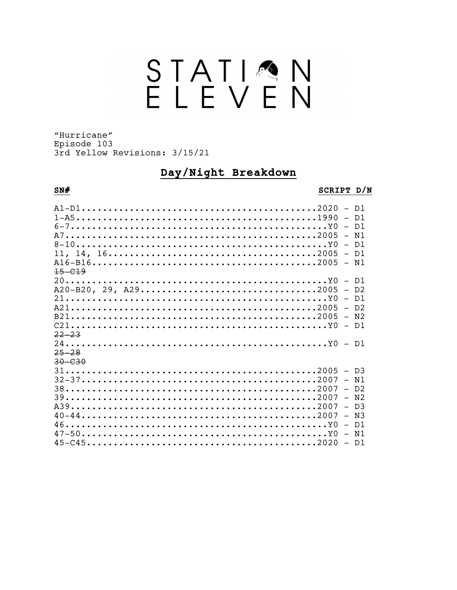# STATION<br>ELEVEN

"Hurricane" Episode 103 3rd Yellow Revisions: 3/15/21

### Day/Night Breakdown

### $SN#$

### SCRIPT D/N

| $Al-D12020 - D1$ |  |
|------------------|--|
|                  |  |
| $6-7Y0 - D1$     |  |
|                  |  |
|                  |  |
|                  |  |
|                  |  |
| $+5-0.19$        |  |
|                  |  |
|                  |  |
| $21Y0 - D1$      |  |
| $A212005 - D2$   |  |
| $B212005 - N2$   |  |
| $C21$            |  |
| 22 23            |  |
|                  |  |
| $25 - 28$        |  |
| $30 - 030$       |  |
| $312005 - D3$    |  |
|                  |  |
| $32-372007 - N1$ |  |
|                  |  |
|                  |  |
|                  |  |
|                  |  |
|                  |  |
|                  |  |
|                  |  |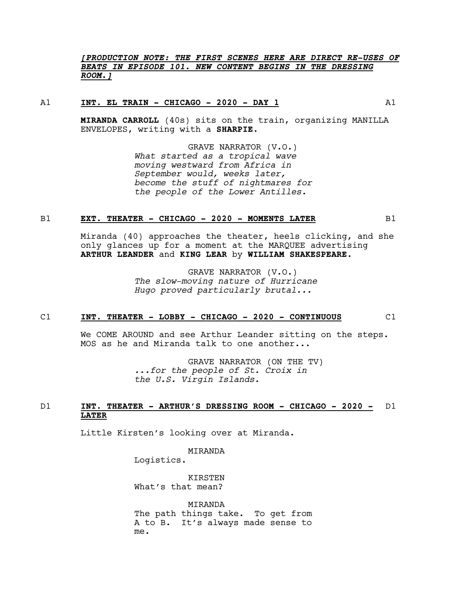### *[PRODUCTION NOTE: THE FIRST SCENES HERE ARE DIRECT RE-USES OF BEATS IN EPISODE 101. NEW CONTENT BEGINS IN THE DRESSING ROOM.]*

### A1 **INT. EL TRAIN - CHICAGO - 2020 - DAY 1** A1

**MIRANDA CARROLL** (40s) sits on the train, organizing MANILLA ENVELOPES, writing with a **SHARPIE**.

> GRAVE NARRATOR (V.O.) *What started as a tropical wave moving westward from Africa in September would, weeks later, become the stuff of nightmares for the people of the Lower Antilles.*

### B1 **EXT. THEATER - CHICAGO - 2020 - MOMENTS LATER** B1

Miranda (40) approaches the theater, heels clicking, and she only glances up for a moment at the MARQUEE advertising **ARTHUR LEANDER** and **KING LEAR** by **WILLIAM SHAKESPEARE**.

> GRAVE NARRATOR (V.O.) *The slow-moving nature of Hurricane Hugo proved particularly brutal...*

### C1 **INT. THEATER - LOBBY - CHICAGO - 2020 - CONTINUOUS** C1

We COME AROUND and see Arthur Leander sitting on the steps. MOS as he and Miranda talk to one another...

> GRAVE NARRATOR (ON THE TV) *...for the people of St. Croix in the U.S. Virgin Islands.*

### D1 **INT. THEATER - ARTHUR'S DRESSING ROOM - CHICAGO - 2020 -** D1 **LATER**

Little Kirsten's looking over at Miranda.

MIRANDA

Logistics.

KIRSTEN What's that mean?

MIRANDA The path things take. To get from A to B. It's always made sense to me.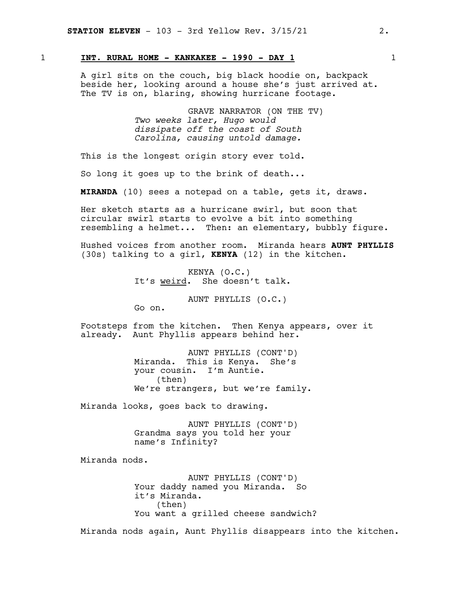### 1 **INT. RURAL HOME - KANKAKEE - 1990 - DAY 1** 1

A girl sits on the couch, big black hoodie on, backpack beside her, looking around a house she's just arrived at. The TV is on, blaring, showing hurricane footage.

> GRAVE NARRATOR (ON THE TV) *Two weeks later, Hugo would dissipate off the coast of South Carolina, causing untold damage.*

This is the longest origin story ever told.

So long it goes up to the brink of death...

**MIRANDA** (10) sees a notepad on a table, gets it, draws.

Her sketch starts as a hurricane swirl, but soon that circular swirl starts to evolve a bit into something resembling a helmet... Then: an elementary, bubbly figure.

Hushed voices from another room. Miranda hears **AUNT PHYLLIS** (30s) talking to a girl, **KENYA** (12) in the kitchen.

> KENYA (O.C.) It's weird. She doesn't talk.

> > AUNT PHYLLIS (O.C.)

Go on.

Footsteps from the kitchen. Then Kenya appears, over it already. Aunt Phyllis appears behind her.

> AUNT PHYLLIS (CONT'D) Miranda. This is Kenya. She's your cousin. I'm Auntie. (then) We're strangers, but we're family.

Miranda looks, goes back to drawing.

AUNT PHYLLIS (CONT'D) Grandma says you told her your name's Infinity?

Miranda nods.

AUNT PHYLLIS (CONT'D) Your daddy named you Miranda. So it's Miranda. (then) You want a grilled cheese sandwich?

Miranda nods again, Aunt Phyllis disappears into the kitchen.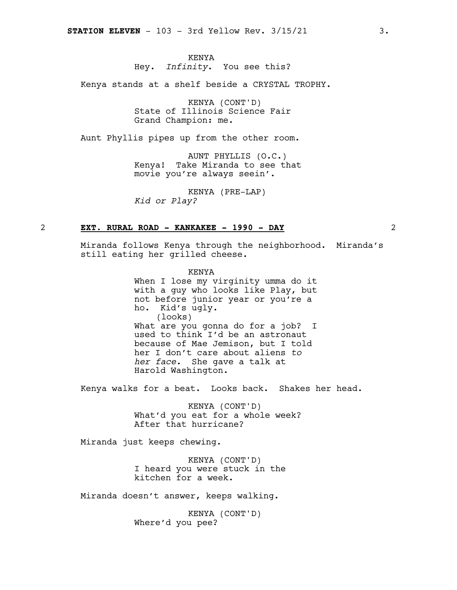### KENYA

### Hey. *Infinity*. You see this?

Kenya stands at a shelf beside a CRYSTAL TROPHY.

KENYA (CONT'D) State of Illinois Science Fair Grand Champion: me.

Aunt Phyllis pipes up from the other room.

AUNT PHYLLIS (O.C.) Kenya! Take Miranda to see that movie you're always seein'.

KENYA (PRE-LAP) *Kid or Play?*

### 2 **EXT. RURAL ROAD - KANKAKEE - 1990 - DAY** 2

Miranda follows Kenya through the neighborhood. Miranda's still eating her grilled cheese.

> KENYA When I lose my virginity umma do it with a guy who looks like Play, but not before junior year or you're a ho. Kid's ugly. (looks) What are you gonna do for a job? I used to think I'd be an astronaut because of Mae Jemison, but I told her I don't care about aliens *to her face.* She gave a talk at Harold Washington.

Kenya walks for a beat. Looks back. Shakes her head.

KENYA (CONT'D) What'd you eat for a whole week? After that hurricane?

Miranda just keeps chewing.

KENYA (CONT'D) I heard you were stuck in the kitchen for a week.

Miranda doesn't answer, keeps walking.

KENYA (CONT'D) Where'd you pee?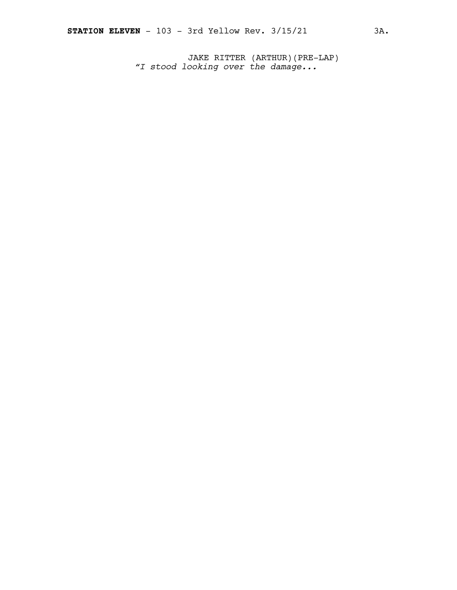JAKE RITTER (ARTHUR)(PRE-LAP) *"I stood looking over the damage...*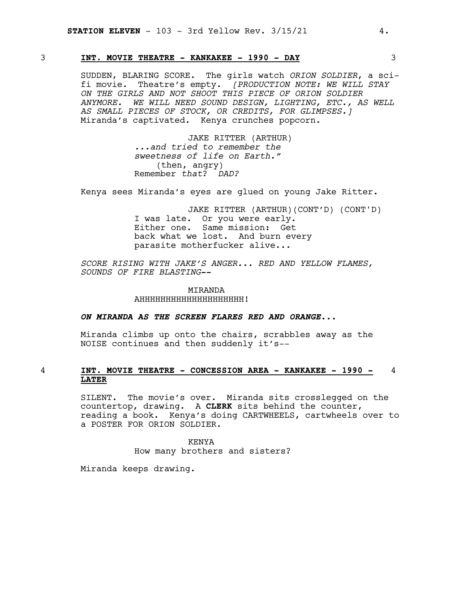### 3 **INT. MOVIE THEATRE - KANKAKEE - 1990 - DAY** 3

SUDDEN, BLARING SCORE. The girls watch *ORION SOLDIER*, a scifi movie. Theatre's empty. *[PRODUCTION NOTE: WE WILL STAY ON THE GIRLS AND NOT SHOOT THIS PIECE OF ORION SOLDIER ANYMORE. WE WILL NEED SOUND DESIGN, LIGHTING, ETC., AS WELL AS SMALL PIECES OF STOCK, OR CREDITS, FOR GLIMPSES.]* Miranda's captivated. Kenya crunches popcorn.

> JAKE RITTER (ARTHUR) *...and tried to remember the sweetness of life on Earth."* (then, angry) Remember *that*? *DAD?*

Kenya sees Miranda's eyes are glued on young Jake Ritter.

JAKE RITTER (ARTHUR)(CONT'D) (CONT'D) I was late. Or you were early. Either one. Same mission: Get back what we lost. And burn every parasite motherfucker alive...

*SCORE RISING WITH JAKE'S ANGER... RED AND YELLOW FLAMES, SOUNDS OF FIRE BLASTING--*

> **MTRANDA** AHHHHHHHHHHHHHHHHHHHH!

*ON MIRANDA AS THE SCREEN FLARES RED AND ORANGE...*

Miranda climbs up onto the chairs, scrabbles away as the NOISE continues and then suddenly it's--

### 4 **INT. MOVIE THEATRE - CONCESSION AREA - KANKAKEE - 1990 -** 4 **LATER**

SILENT. The movie's over. Miranda sits crosslegged on the countertop, drawing. A **CLERK** sits behind the counter, reading a book. Kenya's doing CARTWHEELS, cartwheels over to a POSTER FOR ORION SOLDIER.

> KENYA How many brothers and sisters?

Miranda keeps drawing.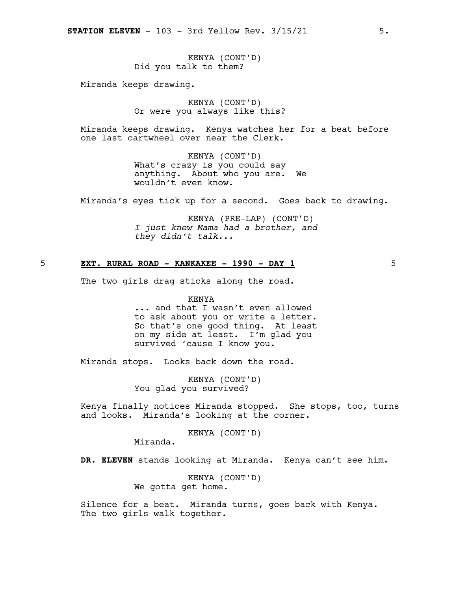KENYA (CONT'D) Did you talk to them?

Miranda keeps drawing.

KENYA (CONT'D) Or were you always like this?

Miranda keeps drawing. Kenya watches her for a beat before one last cartwheel over near the Clerk.

> KENYA (CONT'D) What's crazy is you could say anything. About who you are. We wouldn't even know.

Miranda's eyes tick up for a second. Goes back to drawing.

KENYA (PRE-LAP) (CONT'D) *I just knew Mama had a brother, and they didn't talk...*

### 5 **EXT. RURAL ROAD - KANKAKEE - 1990 - DAY 1** 5

The two girls drag sticks along the road.

KENYA ... and that I wasn't even allowed to ask about you or write a letter. So that's one good thing. At least on my side at least. I'm glad you survived 'cause I know you.

Miranda stops. Looks back down the road.

KENYA (CONT'D) You glad you survived?

Kenya finally notices Miranda stopped. She stops, too, turns and looks. Miranda's looking at the corner.

KENYA (CONT'D)

Miranda.

**DR. ELEVEN** stands looking at Miranda. Kenya can't see him.

KENYA (CONT'D) We gotta get home.

Silence for a beat. Miranda turns, goes back with Kenya. The two girls walk together.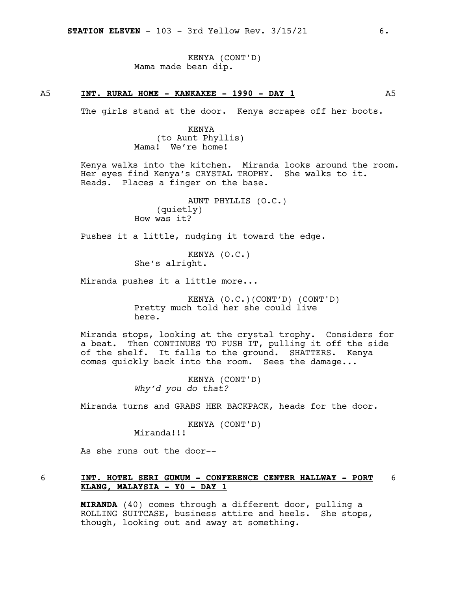KENYA (CONT'D) Mama made bean dip.

### A5 **INT. RURAL HOME - KANKAKEE - 1990 - DAY 1** A5

The girls stand at the door. Kenya scrapes off her boots.

KENYA (to Aunt Phyllis) Mama! We're home!

Kenya walks into the kitchen. Miranda looks around the room. Her eyes find Kenya's CRYSTAL TROPHY. She walks to it. Reads. Places a finger on the base.

> AUNT PHYLLIS (O.C.) (quietly) How was it?

Pushes it a little, nudging it toward the edge.

KENYA (O.C.) She's alright.

Miranda pushes it a little more...

KENYA (O.C.)(CONT'D) (CONT'D) Pretty much told her she could live here.

Miranda stops, looking at the crystal trophy. Considers for a beat. Then CONTINUES TO PUSH IT, pulling it off the side of the shelf. It falls to the ground. SHATTERS. Kenya comes quickly back into the room. Sees the damage...

> KENYA (CONT'D) *Why'd you do that?*

Miranda turns and GRABS HER BACKPACK, heads for the door.

KENYA (CONT'D) Miranda!!!

As she runs out the door--

### 6 **INT. HOTEL SERI GUMUM - CONFERENCE CENTER HALLWAY - PORT** 6 **KLANG, MALAYSIA - Y0 - DAY 1**

**MIRANDA** (40) comes through a different door, pulling a ROLLING SUITCASE, business attire and heels. She stops, though, looking out and away at something.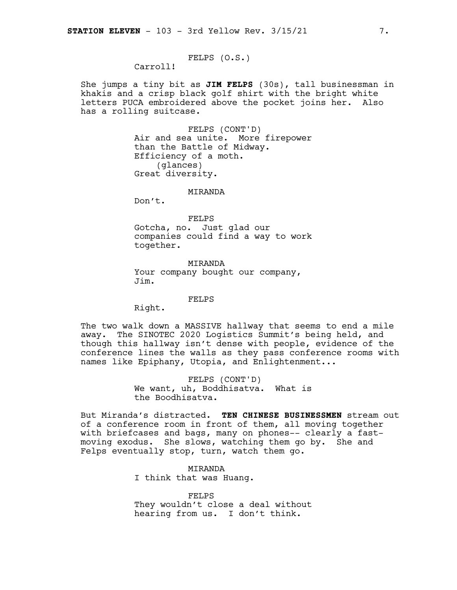FELPS (O.S.)

Carroll!

She jumps a tiny bit as **JIM FELPS** (30s), tall businessman in khakis and a crisp black golf shirt with the bright white letters PUCA embroidered above the pocket joins her. Also has a rolling suitcase.

> FELPS (CONT'D) Air and sea unite. More firepower than the Battle of Midway. Efficiency of a moth. (glances) Great diversity.

### MIRANDA

Don't.

FELPS

Gotcha, no. Just glad our companies could find a way to work together.

MIRANDA Your company bought our company, Jim.

### FELPS

Right.

The two walk down a MASSIVE hallway that seems to end a mile away. The SINOTEC 2020 Logistics Summit's being held, and though this hallway isn't dense with people, evidence of the conference lines the walls as they pass conference rooms with names like Epiphany, Utopia, and Enlightenment...

> FELPS (CONT'D) We want, uh, Boddhisatva. What is the Boodhisatva.

But Miranda's distracted. **TEN CHINESE BUSINESSMEN** stream out of a conference room in front of them, all moving together with briefcases and bags, many on phones-- clearly a fastmoving exodus. She slows, watching them go by. She and Felps eventually stop, turn, watch them go.

> MIRANDA I think that was Huang.

FELPS They wouldn't close a deal without hearing from us. I don't think.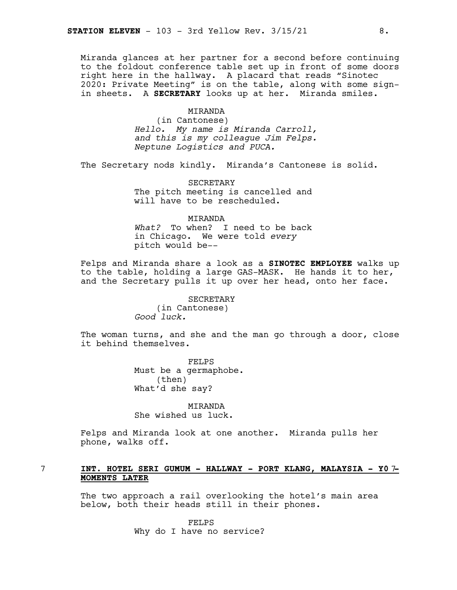Miranda glances at her partner for a second before continuing to the foldout conference table set up in front of some doors right here in the hallway. A placard that reads "Sinotec 2020: Private Meeting" is on the table, along with some signin sheets. A **SECRETARY** looks up at her. Miranda smiles.

### MIRANDA

(in Cantonese) *Hello. My name is Miranda Carroll, and this is my colleague Jim Felps. Neptune Logistics and PUCA.*

The Secretary nods kindly. Miranda's Cantonese is solid.

SECRETARY The pitch meeting is cancelled and will have to be rescheduled.

### MIRANDA

*What?* To when? I need to be back in Chicago. We were told *every* pitch would be--

Felps and Miranda share a look as a **SINOTEC EMPLOYEE** walks up to the table, holding a large GAS-MASK. He hands it to her, and the Secretary pulls it up over her head, onto her face.

> SECRETARY (in Cantonese) *Good luck.*

The woman turns, and she and the man go through a door, close it behind themselves.

> FELPS Must be a germaphobe. (then) What'd she say?

MIRANDA She wished us luck.

Felps and Miranda look at one another. Miranda pulls her phone, walks off.

### 7 **INT. HOTEL SERI GUMUM - HALLWAY - PORT KLANG, MALAYSIA - Y0** 7**- MOMENTS LATER**

The two approach a rail overlooking the hotel's main area below, both their heads still in their phones.

> FELPS Why do I have no service?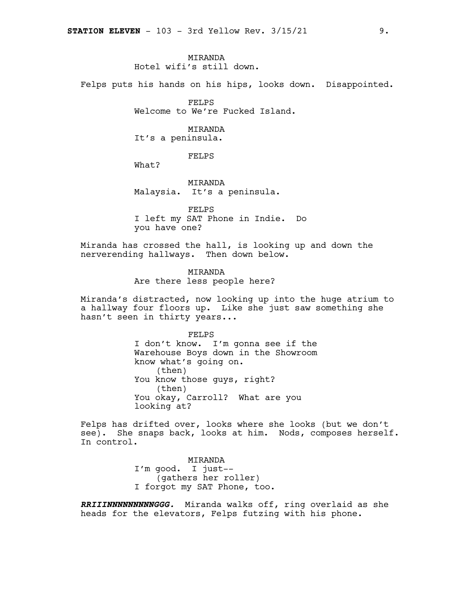### **MTRANDA**

Hotel wifi's still down.

Felps puts his hands on his hips, looks down. Disappointed.

FELPS Welcome to We're Fucked Island.

### MIRANDA

It's a peninsula.

### FELPS

What?

MIRANDA Malaysia. It's a peninsula.

FELPS I left my SAT Phone in Indie. Do you have one?

Miranda has crossed the hall, is looking up and down the nerverending hallways. Then down below.

> MIRANDA Are there less people here?

Miranda's distracted, now looking up into the huge atrium to a hallway four floors up. Like she just saw something she hasn't seen in thirty years...

> FELPS I don't know. I'm gonna see if the Warehouse Boys down in the Showroom know what's going on. (then) You know those guys, right? (then) You okay, Carroll? What are you looking at?

Felps has drifted over, looks where she looks (but we don't see). She snaps back, looks at him. Nods, composes herself. In control.

> MIRANDA I'm good. I just-- (gathers her roller) I forgot my SAT Phone, too.

*RRIIINNNNNNNNNGGG.* Miranda walks off, ring overlaid as she heads for the elevators, Felps futzing with his phone.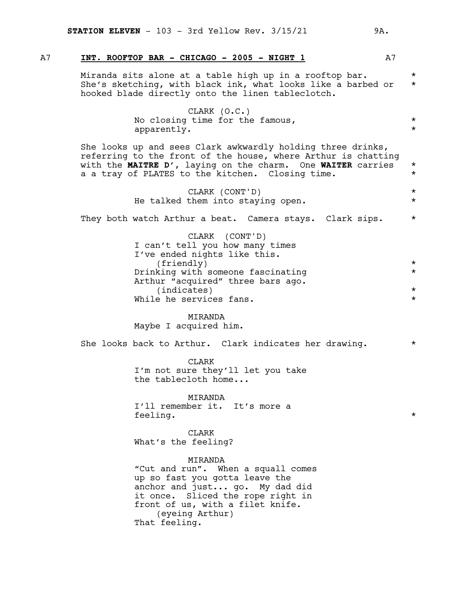### A7 **INT. ROOFTOP BAR - CHICAGO - 2005 - NIGHT 1** A7

Miranda sits alone at a table high up in a rooftop bar.  $*$ She's sketching, with black ink, what looks like a barbed or  $*$ hooked blade directly onto the linen tableclotch.

> CLARK (O.C.) No closing time for the famous,  $*$ <br>apparently apparently. \*

She looks up and sees Clark awkwardly holding three drinks, referring to the front of the house, where Arthur is chatting with the **MAITRE D'**, laying on the charm. One **WAITER** carries \* a a tray of PLATES to the kitchen. Closing time.  $*$ 

> CLARK (CONT'D) \* He talked them into staying open.  $*$

They both watch Arthur a beat. Camera stays. Clark sips. \*

CLARK (CONT'D) I can't tell you how many times I've ended nights like this. (friendly) \* Drinking with someone fascinating  $*$ Arthur "acquired" three bars ago. (indicates) \* While he services fans.

MIRANDA Maybe I acquired him.

She looks back to Arthur. Clark indicates her drawing. \*

CLARK I'm not sure they'll let you take the tablecloth home...

MIRANDA I'll remember it. It's more a feeling.  $\star$ 

CLARK What's the feeling?

MIRANDA "Cut and run". When a squall comes up so fast you gotta leave the anchor and just... go. My dad did it once. Sliced the rope right in front of us, with a filet knife. (eyeing Arthur) That feeling.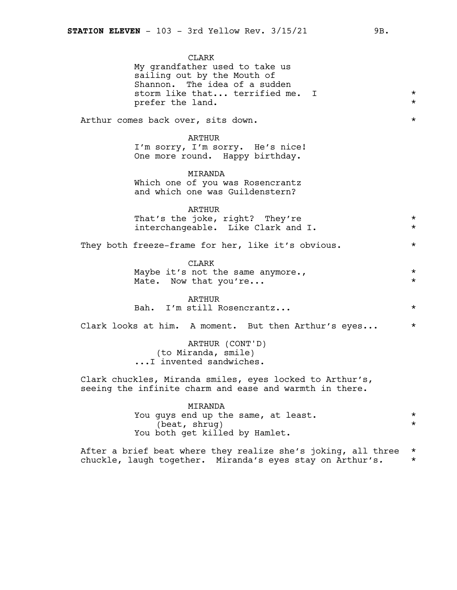CLARK My grandfather used to take us sailing out by the Mouth of Shannon. The idea of a sudden storm like that... terrified me. I  $*$ prefer the land.  $*$ Arthur comes back over, sits down.  $\star$ ARTHUR I'm sorry, I'm sorry. He's nice! One more round. Happy birthday. MIRANDA Which one of you was Rosencrantz and which one was Guildenstern? ARTHUR That's the joke, right? They're  $*$ interchangeable. Like Clark and I. \* They both freeze-frame for her, like it's obvious. \* CLARK Maybe it's not the same anymore., Mate. Now that you're...  $\star$ ARTHUR Bah. I'm still Rosencrantz... \* Clark looks at him. A moment. But then Arthur's eyes... \* ARTHUR (CONT'D) (to Miranda, smile) ...I invented sandwiches. Clark chuckles, Miranda smiles, eyes locked to Arthur's, seeing the infinite charm and ease and warmth in there. MIRANDA You guys end up the same, at least.<br>
(beat, shrug) \*  $(beat, shrug)$ You both get killed by Hamlet.

After a brief beat where they realize she's joking, all three \* chuckle, laugh together. Miranda's eyes stay on Arthur's*.* \*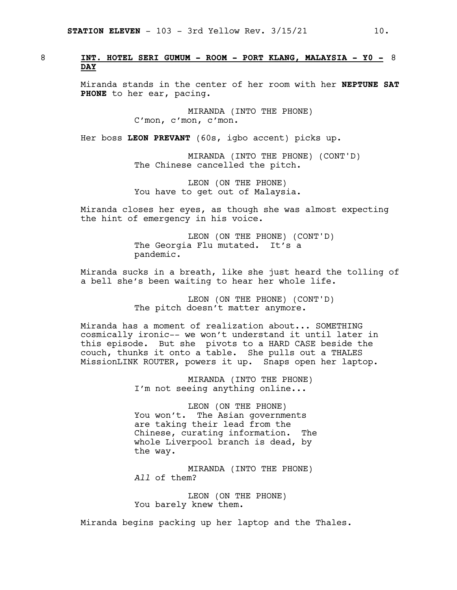### 8 **INT. HOTEL SERI GUMUM - ROOM - PORT KLANG, MALAYSIA - Y0 -** 8 **DAY**

Miranda stands in the center of her room with her **NEPTUNE SAT PHONE** to her ear, pacing.

> MIRANDA (INTO THE PHONE) C'mon, c'mon, c'mon.

Her boss **LEON PREVANT** (60s, igbo accent) picks up.

MIRANDA (INTO THE PHONE) (CONT'D) The Chinese cancelled the pitch.

LEON (ON THE PHONE) You have to get out of Malaysia.

Miranda closes her eyes, as though she was almost expecting the hint of emergency in his voice.

> LEON (ON THE PHONE) (CONT'D) The Georgia Flu mutated. It's a pandemic.

Miranda sucks in a breath, like she just heard the tolling of a bell she's been waiting to hear her whole life.

> LEON (ON THE PHONE) (CONT'D) The pitch doesn't matter anymore.

Miranda has a moment of realization about... SOMETHING cosmically ironic-- we won't understand it until later in this episode. But she pivots to a HARD CASE beside the couch, thunks it onto a table. She pulls out a THALES MissionLINK ROUTER, powers it up. Snaps open her laptop.

> MIRANDA (INTO THE PHONE) I'm not seeing anything online...

LEON (ON THE PHONE) You won't. The Asian governments are taking their lead from the Chinese, curating information. The whole Liverpool branch is dead, by the way.

MIRANDA (INTO THE PHONE) *All* of them?

LEON (ON THE PHONE) You barely knew them.

Miranda begins packing up her laptop and the Thales.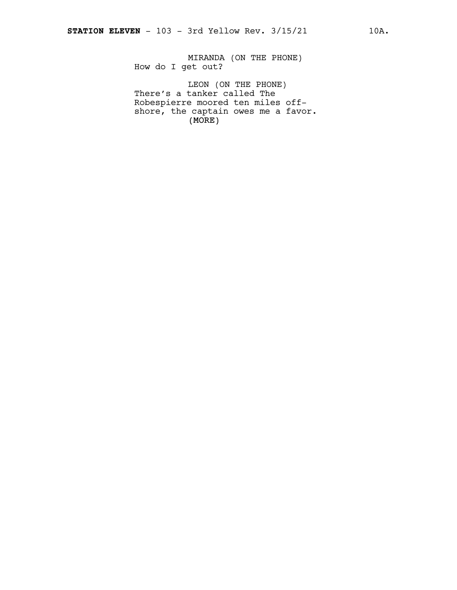MIRANDA (ON THE PHONE) How do I get out?

(MORE) LEON (ON THE PHONE) There's a tanker called The Robespierre moored ten miles offshore, the captain owes me a favor.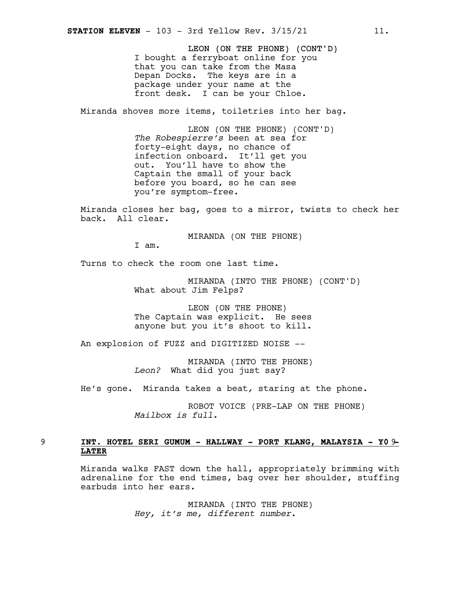LEON (ON THE PHONE) (CONT'D) I bought a ferryboat online for you that you can take from the Masa Depan Docks. The keys are in a package under your name at the front desk. I can be your Chloe.

Miranda shoves more items, toiletries into her bag.

LEON (ON THE PHONE) (CONT'D) *The Robespierre's* been at sea for forty-eight days, no chance of infection onboard. It'll get you out. You'll have to show the Captain the small of your back before you board, so he can see you're symptom-free.

Miranda closes her bag, goes to a mirror, twists to check her back. All clear.

MIRANDA (ON THE PHONE)

I am.

Turns to check the room one last time.

MIRANDA (INTO THE PHONE) (CONT'D) What about Jim Felps?

LEON (ON THE PHONE) The Captain was explicit. He sees anyone but you it's shoot to kill.

An explosion of FUZZ and DIGITIZED NOISE --

MIRANDA (INTO THE PHONE) *Leon?* What did you just say?

He's gone. Miranda takes a beat*,* staring at the phone.

ROBOT VOICE (PRE-LAP ON THE PHONE) *Mailbox is full.*

### 9 **INT. HOTEL SERI GUMUM - HALLWAY - PORT KLANG, MALAYSIA - Y0** 9**- LATER**

Miranda walks FAST down the hall, appropriately brimming with adrenaline for the end times, bag over her shoulder, stuffing earbuds into her ears.

> MIRANDA (INTO THE PHONE) *Hey, it's me, different number*.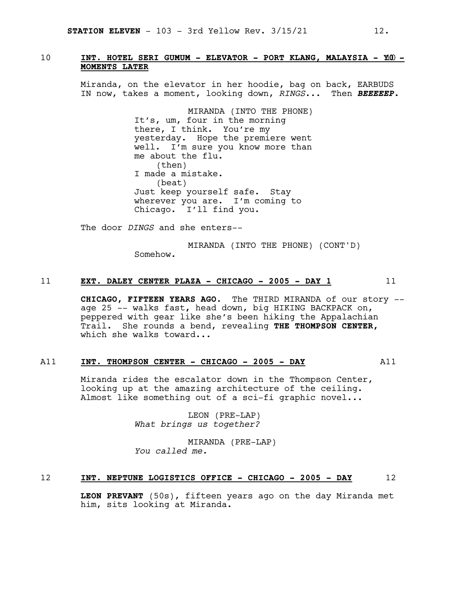### 10 **INT. HOTEL SERI GUMUM - ELEVATOR - PORT KLANG, MALAYSIA - Y**10**0 - MOMENTS LATER**

Miranda, on the elevator in her hoodie, bag on back, EARBUDS IN now, takes a moment, looking down, *RINGS*... Then *BEEEEEP.*

> MIRANDA (INTO THE PHONE) It's, um, four in the morning there, I think. You're my yesterday. Hope the premiere went well. I'm sure you know more than me about the flu. (then) I made a mistake. (beat) Just keep yourself safe. Stay wherever you are. I'm coming to Chicago. I'll find you.

The door *DINGS* and she enters--

MIRANDA (INTO THE PHONE) (CONT'D) Somehow.

### 11 **EXT. DALEY CENTER PLAZA - CHICAGO - 2005 - DAY 1** 11

**CHICAGO, FIFTEEN YEARS AGO**. The THIRD MIRANDA of our story - age 25 -- walks fast**,** head down, big HIKING BACKPACK on, peppered with gear like she's been hiking the Appalachian Trail. She rounds a bend, revealing **THE THOMPSON CENTER,** which she walks toward...

### A11 **INT. THOMPSON CENTER - CHICAGO - 2005 - DAY** A11

Miranda rides the escalator down in the Thompson Center, looking up at the amazing architecture of the ceiling. Almost like something out of a sci-fi graphic novel...

> LEON (PRE-LAP) *What brings us together?*

MIRANDA (PRE-LAP) *You called me.*

### 12 **INT. NEPTUNE LOGISTICS OFFICE - CHICAGO - 2005 - DAY** 12

**LEON PREVANT** (50s), fifteen years ago on the day Miranda met him, sits looking at Miranda.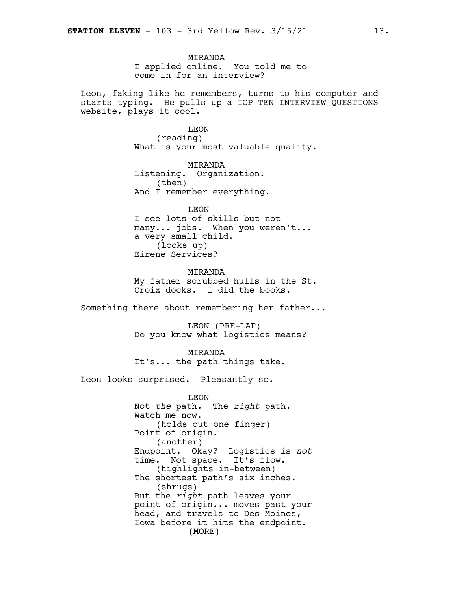MIRANDA I applied online. You told me to come in for an interview?

Leon, faking like he remembers, turns to his computer and starts typing. He pulls up a TOP TEN INTERVIEW QUESTIONS website, plays it cool.

> LEON (reading) What is your most valuable quality.

MIRANDA Listening. Organization. (then) And I remember everything.

LEON I see lots of skills but not many... jobs. When you weren't... a very small child. (looks up) Eirene Services?

**MTRANDA** My father scrubbed hulls in the St. Croix docks. I did the books.

Something there about remembering her father...

LEON (PRE-LAP) Do you know what logistics means?

MIRANDA It's... the path things take.

Leon looks surprised. Pleasantly so.

(MORE) LEON Not *the* path. The *right* path. Watch me now. (holds out one finger) Point of origin. (another) Endpoint. Okay? Logistics is *not* time. Not space. It's flow. (highlights in-between) The shortest path's six inches. (shrugs) But the *right* path leaves your point of origin... moves past your head, and travels to Des Moines, Iowa before it hits the endpoint.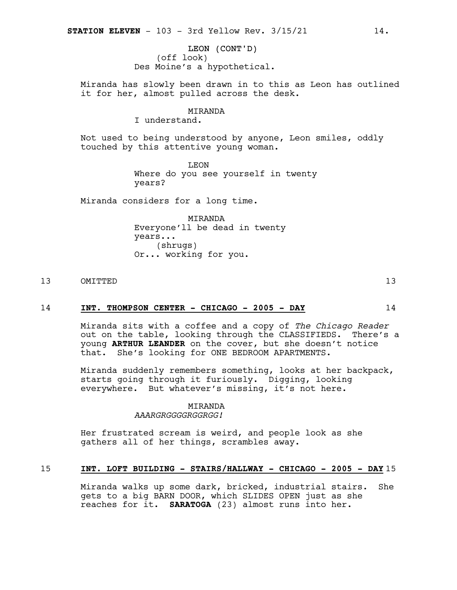LEON (CONT'D) (off look) Des Moine's a hypothetical.

Miranda has slowly been drawn in to this as Leon has outlined it for her, almost pulled across the desk.

### MIRANDA

I understand.

Not used to being understood by anyone, Leon smiles, oddly touched by this attentive young woman.

> LEON Where do you see yourself in twenty years?

Miranda considers for a long time.

MIRANDA Everyone'll be dead in twenty years... (shrugs) Or... working for you.

### 13 OMITTED 13

### 14 **INT. THOMPSON CENTER - CHICAGO - 2005 - DAY** 14

Miranda sits with a coffee and a copy of *The Chicago Reader* out on the table, looking through the CLASSIFIEDS. There's a young **ARTHUR LEANDER** on the cover, but she doesn't notice that. She's looking for ONE BEDROOM APARTMENTS.

Miranda suddenly remembers something, looks at her backpack, starts going through it furiously. Digging, looking everywhere. But whatever's missing, it's not here.

### MIRANDA

*AAARGRGGGGRGGRGG!*

Her frustrated scream is weird, and people look as she gathers all of her things, scrambles away.

### 15 **INT. LOFT BUILDING - STAIRS/HALLWAY - CHICAGO - 2005 - DAY** 15

Miranda walks up some dark, bricked, industrial stairs. She gets to a big BARN DOOR, which SLIDES OPEN just as she reaches for it. **SARATOGA** (23) almost runs into her.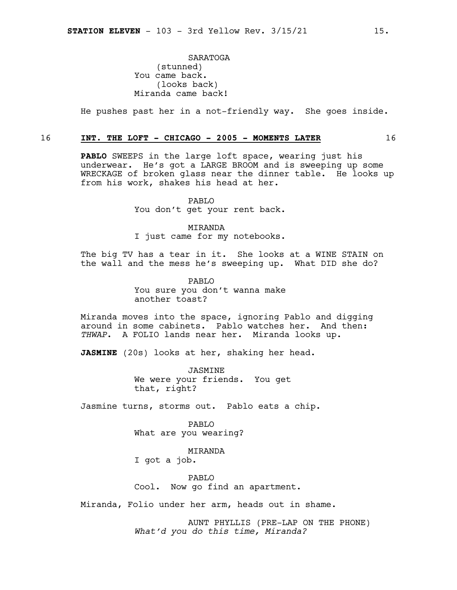SARATOGA (stunned) You came back. (looks back) Miranda came back!

He pushes past her in a not-friendly way. She goes inside.

### 16 **INT. THE LOFT - CHICAGO - 2005 - MOMENTS LATER** 16

**PABLO** SWEEPS in the large loft space, wearing just his underwear. He's got a LARGE BROOM and is sweeping up some WRECKAGE of broken glass near the dinner table. He looks up from his work, shakes his head at her.

> PABLO You don't get your rent back.

> MIRANDA I just came for my notebooks.

The big TV has a tear in it. She looks at a WINE STAIN on the wall and the mess he's sweeping up. What DID she do?

> PABLO You sure you don't wanna make another toast?

Miranda moves into the space, ignoring Pablo and digging around in some cabinets. Pablo watches her. And then: *THWAP*. A FOLIO lands near her. Miranda looks up.

**JASMINE** (20s) looks at her, shaking her head.

JASMINE We were your friends. You get that, right?

Jasmine turns, storms out. Pablo eats a chip.

PABLO What are you wearing?

MIRANDA

I got a job.

PABLO Cool. Now go find an apartment.

Miranda, Folio under her arm, heads out in shame.

AUNT PHYLLIS (PRE-LAP ON THE PHONE) *What'd you do this time, Miranda?*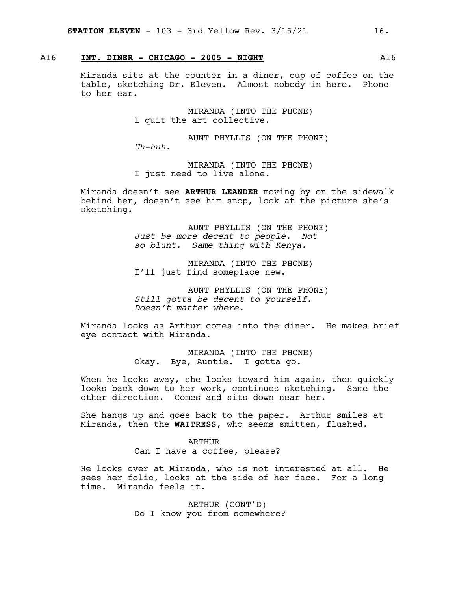### A16 **INT. DINER - CHICAGO - 2005 - NIGHT** A16

Miranda sits at the counter in a diner, cup of coffee on the table, sketching Dr. Eleven. Almost nobody in here. Phone to her ear.

> MIRANDA (INTO THE PHONE) I quit the art collective.

AUNT PHYLLIS (ON THE PHONE) *Uh-huh.*

MIRANDA (INTO THE PHONE) I just need to live alone.

Miranda doesn't see **ARTHUR LEANDER** moving by on the sidewalk behind her, doesn't see him stop, look at the picture she's sketching.

> AUNT PHYLLIS (ON THE PHONE) *Just be more decent to people. Not so blunt. Same thing with Kenya.*

MIRANDA (INTO THE PHONE) I'll just find someplace new.

AUNT PHYLLIS (ON THE PHONE) *Still gotta be decent to yourself. Doesn't matter where.*

Miranda looks as Arthur comes into the diner. He makes brief eye contact with Miranda.

> MIRANDA (INTO THE PHONE) Okay. Bye, Auntie. I gotta go.

When he looks away, she looks toward him again, then quickly looks back down to her work, continues sketching. Same the other direction. Comes and sits down near her.

She hangs up and goes back to the paper. Arthur smiles at Miranda, then the **WAITRESS**, who seems smitten, flushed.

> ARTHUR Can I have a coffee, please?

He looks over at Miranda, who is not interested at all. He sees her folio, looks at the side of her face. For a long time. Miranda feels it.

> ARTHUR (CONT'D) Do I know you from somewhere?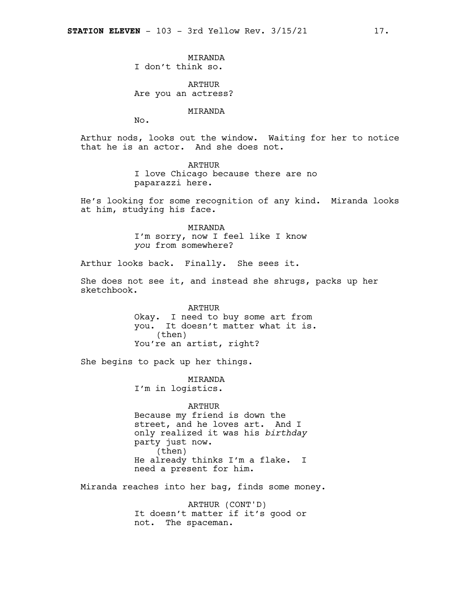**MTRANDA** I don't think so.

ARTHUR Are you an actress?

MIRANDA

No.

Arthur nods, looks out the window. Waiting for her to notice that he is an actor. And she does not.

> ARTHUR I love Chicago because there are no paparazzi here.

He's looking for some recognition of any kind. Miranda looks at him, studying his face.

> MIRANDA I'm sorry, now I feel like I know *you* from somewhere?

Arthur looks back. Finally. She sees it.

She does not see it, and instead she shrugs, packs up her sketchbook.

> ARTHUR Okay. I need to buy some art from you. It doesn't matter what it is. (then) You're an artist, right?

She begins to pack up her things.

MIRANDA I'm in logistics.

ARTHUR Because my friend is down the street, and he loves art. And I only realized it was his *birthday* party just now. (then) He already thinks I'm a flake. I need a present for him.

Miranda reaches into her bag, finds some money.

ARTHUR (CONT'D) It doesn't matter if it's good or not. The spaceman.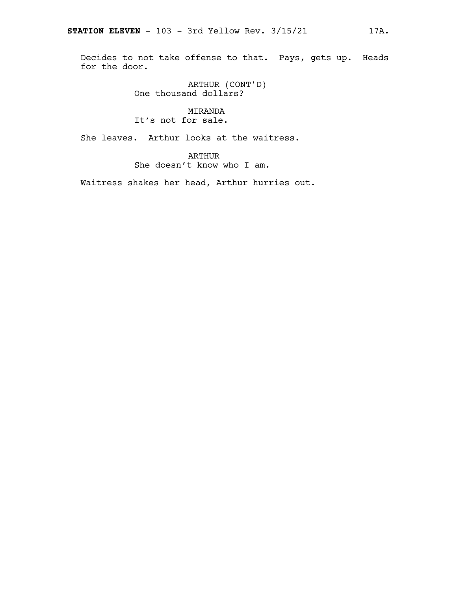Decides to not take offense to that. Pays, gets up. Heads for the door.

> ARTHUR (CONT'D) One thousand dollars?

### MIRANDA It's not for sale.

She leaves. Arthur looks at the waitress.

ARTHUR She doesn't know who I am.

Waitress shakes her head, Arthur hurries out.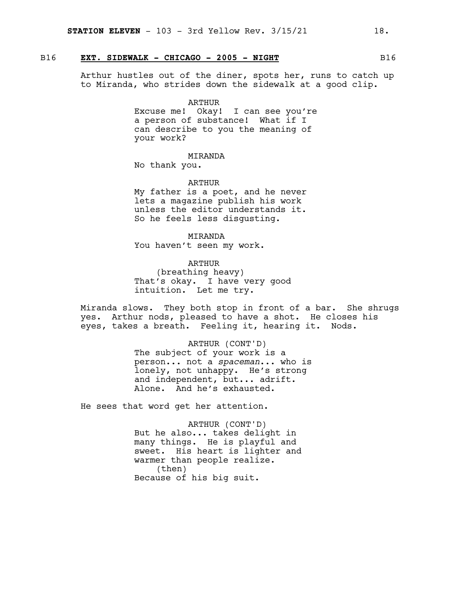### B16 **EXT. SIDEWALK - CHICAGO - 2005 - NIGHT** B16

Arthur hustles out of the diner, spots her, runs to catch up to Miranda, who strides down the sidewalk at a good clip.

### ARTHUR

Excuse me! Okay! I can see you're a person of substance! What if I can describe to you the meaning of your work?

### MIRANDA

No thank you.

### ARTHUR

My father is a poet, and he never lets a magazine publish his work unless the editor understands it. So he feels less disgusting.

### MIRANDA

You haven't seen my work.

### ARTHUR (breathing heavy) That's okay. I have very good intuition. Let me try.

Miranda slows. They both stop in front of a bar. She shrugs yes. Arthur nods, pleased to have a shot. He closes his eyes, takes a breath. Feeling it, hearing it. Nods.

### ARTHUR (CONT'D)

The subject of your work is a person... not a *spaceman*... who is lonely, not unhappy. He's strong and independent, but... adrift. Alone. And he's exhausted.

He sees that word get her attention.

ARTHUR (CONT'D) But he also... takes delight in many things. He is playful and sweet. His heart is lighter and warmer than people realize. (then) Because of his big suit.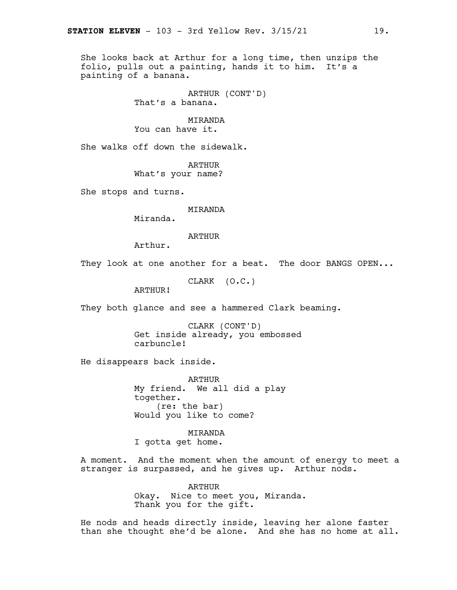She looks back at Arthur for a long time, then unzips the folio, pulls out a painting, hands it to him. It's a painting of a banana.

> ARTHUR (CONT'D) That's a banana.

MIRANDA You can have it.

She walks off down the sidewalk.

ARTHUR What's your name?

She stops and turns.

MIRANDA

Miranda.

ARTHUR

Arthur.

They look at one another for a beat. The door BANGS OPEN...

CLARK (O.C.)

ARTHUR!

They both glance and see a hammered Clark beaming.

CLARK (CONT'D) Get inside already, you embossed carbuncle!

He disappears back inside.

ARTHUR My friend. We all did a play together. (re: the bar) Would you like to come?

MIRANDA I gotta get home.

A moment. And the moment when the amount of energy to meet a stranger is surpassed, and he gives up. Arthur nods.

> ARTHUR Okay. Nice to meet you, Miranda. Thank you for the gift.

He nods and heads directly inside, leaving her alone faster than she thought she'd be alone. And she has no home at all.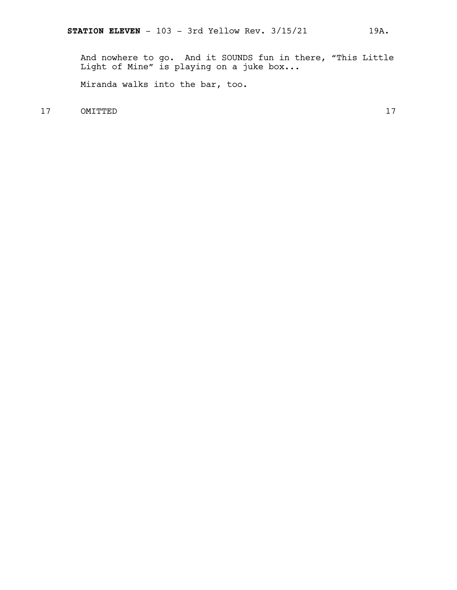And nowhere to go. And it SOUNDS fun in there, "This Little Light of Mine" is playing on a juke box...

Miranda walks into the bar, too.

17 OMITTED 17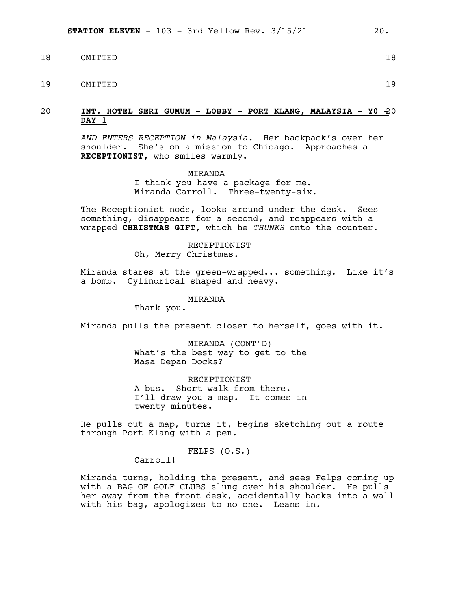- 18 OMITTED 18
- 19 OMITTED 19

### 20 **INT. HOTEL SERI GUMUM - LOBBY - PORT KLANG, MALAYSIA - Y0 -**20 **DAY 1**

*AND ENTERS RECEPTION in Malaysia.* Her backpack's over her shoulder. She's on a mission to Chicago. Approaches a **RECEPTIONIST,** who smiles warmly.

> MIRANDA I think you have a package for me. Miranda Carroll. Three-twenty-six.

The Receptionist nods, looks around under the desk. Sees something, disappears for a second, and reappears with a wrapped **CHRISTMAS GIFT**, which he *THUNKS* onto the counter.

> RECEPTIONIST Oh, Merry Christmas.

Miranda stares at the green-wrapped... something. Like it's a bomb. Cylindrical shaped and heavy.

### MIRANDA

Thank you.

Miranda pulls the present closer to herself, goes with it.

MIRANDA (CONT'D) What's the best way to get to the Masa Depan Docks?

RECEPTIONIST A bus. Short walk from there. I'll draw you a map. It comes in twenty minutes.

He pulls out a map, turns it, begins sketching out a route through Port Klang with a pen.

FELPS (O.S.)

Carroll!

Miranda turns, holding the present, and sees Felps coming up with a BAG OF GOLF CLUBS slung over his shoulder. He pulls her away from the front desk, accidentally backs into a wall with his bag, apologizes to no one. Leans in.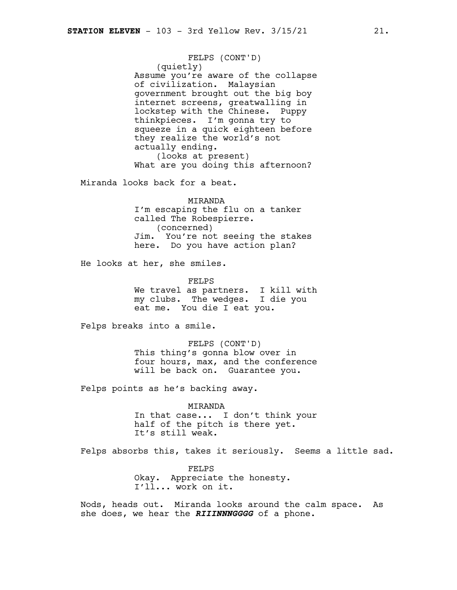FELPS (CONT'D) (quietly) Assume you're aware of the collapse of civilization. Malaysian government brought out the big boy internet screens, greatwalling in lockstep with the Chinese. Puppy thinkpieces. I'm gonna try to squeeze in a quick eighteen before they realize the world's not actually ending. (looks at present) What are you doing this afternoon?

Miranda looks back for a beat.

MIRANDA I'm escaping the flu on a tanker called The Robespierre. (concerned) Jim. You're not seeing the stakes here. Do you have action plan?

He looks at her, she smiles.

FELPS We travel as partners. I kill with my clubs. The wedges. I die you eat me. You die I eat you.

Felps breaks into a smile.

FELPS (CONT'D) This thing's gonna blow over in four hours, max, and the conference will be back on. Guarantee you.

Felps points as he's backing away.

MIRANDA In that case... I don't think your half of the pitch is there yet. It's still weak.

Felps absorbs this, takes it seriously. Seems a little sad.

FELPS Okay. Appreciate the honesty. I'll... work on it.

Nods, heads out. Miranda looks around the calm space. As she does, we hear the *RIIINNNGGGG* of a phone.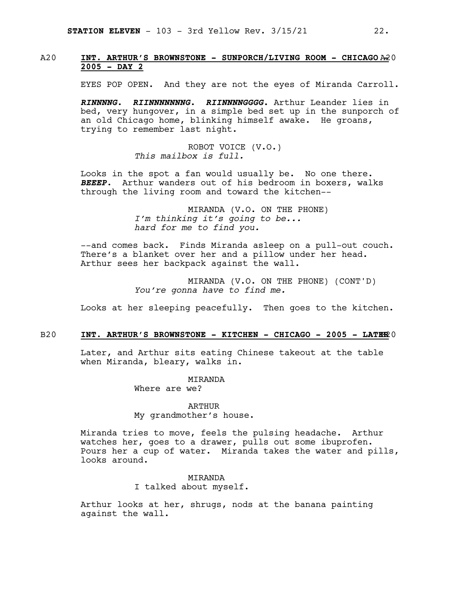### A20 **INT. ARTHUR'S BROWNSTONE - SUNPORCH/LIVING ROOM - CHICAGO** A20 **- 2005 - DAY 2**

EYES POP OPEN. And they are not the eyes of Miranda Carroll.

*RINNNNG. RIINNNNNNNG. RIINNNNGGGG.* Arthur Leander lies in bed, very hungover, in a simple bed set up in the sunporch of an old Chicago home, blinking himself awake. He groans, trying to remember last night.

> ROBOT VOICE (V.O.) *This mailbox is full.*

Looks in the spot a fan would usually be. No one there. *BEEEP*. Arthur wanders out of his bedroom in boxers, walks through the living room and toward the kitchen--

> MIRANDA (V.O. ON THE PHONE) *I'm thinking it's going to be... hard for me to find you.*

--and comes back. Finds Miranda asleep on a pull-out couch. There's a blanket over her and a pillow under her head. Arthur sees her backpack against the wall.

> MIRANDA (V.O. ON THE PHONE) (CONT'D) *You're gonna have to find me.*

Looks at her sleeping peacefully. Then goes to the kitchen.

### B20 **INT. ARTHUR'S BROWNSTONE - KITCHEN - CHICAGO - 2005 - LATE**B20 **R**

Later, and Arthur sits eating Chinese takeout at the table when Miranda, bleary, walks in.

> MIRANDA Where are we?

ARTHUR My grandmother's house.

Miranda tries to move, feels the pulsing headache. Arthur watches her, goes to a drawer, pulls out some ibuprofen. Pours her a cup of water. Miranda takes the water and pills, looks around.

> MIRANDA I talked about myself.

Arthur looks at her, shrugs, nods at the banana painting against the wall.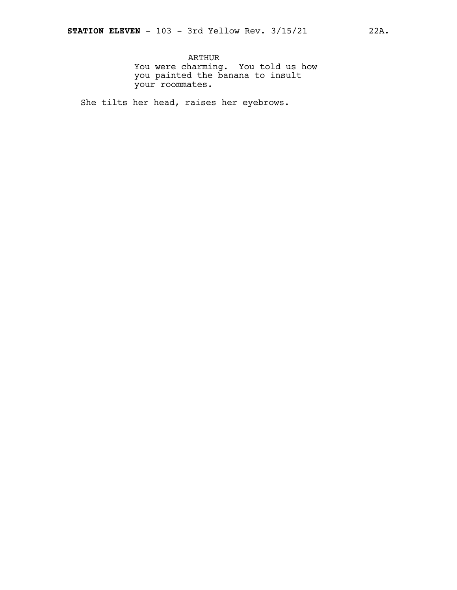ARTHUR You were charming. You told us how you painted the banana to insult your roommates.

She tilts her head, raises her eyebrows.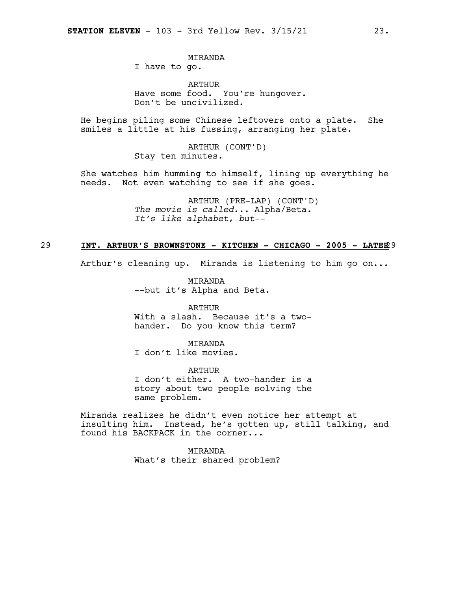### MIRANDA

I have to go.

ARTHUR Have some food. You're hungover. Don't be uncivilized.

He begins piling some Chinese leftovers onto a plate. She smiles a little at his fussing, arranging her plate.

> ARTHUR (CONT'D) Stay ten minutes.

She watches him humming to himself, lining up everything he needs. Not even watching to see if she goes.

> ARTHUR (PRE-LAP) (CONT'D) *The movie is called...* Alpha/Beta*. It's like alphabet, but--*

### 29 **INT. ARTHUR'S BROWNSTONE - KITCHEN - CHICAGO - 2005 - LATER**29

Arthur's cleaning up. Miranda is listening to him go on...

MIRANDA --but it's Alpha and Beta.

ARTHUR With a slash. Because it's a twohander. Do you know this term?

MIRANDA I don't like movies.

ARTHUR I don't either. A two-hander is a story about two people solving the same problem.

Miranda realizes he didn't even notice her attempt at insulting him. Instead, he's gotten up, still talking, and found his BACKPACK in the corner...

> **MTRANDA** What's their shared problem?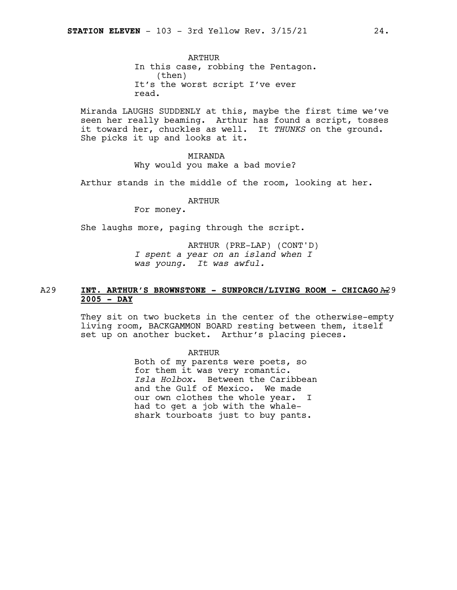ARTHUR In this case, robbing the Pentagon. (then) It's the worst script I've ever read.

Miranda LAUGHS SUDDENLY at this, maybe the first time we've seen her really beaming. Arthur has found a script, tosses it toward her, chuckles as well. It *THUNKS* on the ground. She picks it up and looks at it.

### MIRANDA

Why would you make a bad movie?

Arthur stands in the middle of the room, looking at her.

### ARTHUR

For money.

She laughs more, paging through the script.

ARTHUR (PRE-LAP) (CONT'D) *I spent a year on an island when I was young. It was awful.*

### A29 **INT. ARTHUR'S BROWNSTONE - SUNPORCH/LIVING ROOM - CHICAGO** A29 **- 2005 - DAY**

They sit on two buckets in the center of the otherwise-empty living room, BACKGAMMON BOARD resting between them, itself set up on another bucket. Arthur's placing pieces.

### ARTHUR

Both of my parents were poets, so for them it was very romantic. *Isla Holbox*. Between the Caribbean and the Gulf of Mexico. We made our own clothes the whole year. I had to get a job with the whaleshark tourboats just to buy pants.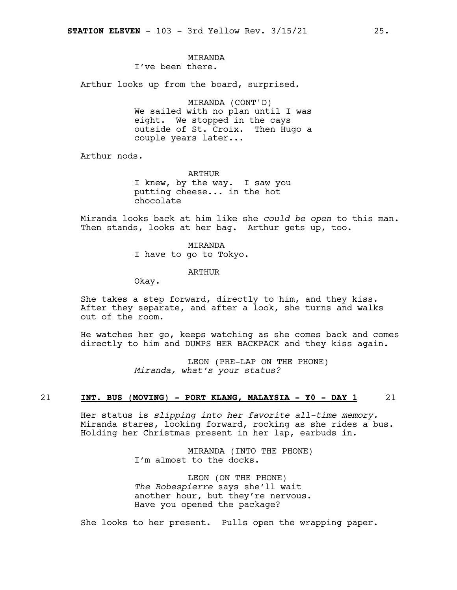### MIRANDA I've been there.

Arthur looks up from the board, surprised.

MIRANDA (CONT'D) We sailed with no plan until I was eight. We stopped in the cays outside of St. Croix. Then Hugo a couple years later...

Arthur nods.

ARTHUR I knew, by the way. I saw you putting cheese... in the hot chocolate

Miranda looks back at him like she *could be open* to this man. Then stands, looks at her bag. Arthur gets up, too.

> MIRANDA I have to go to Tokyo.

> > ARTHUR

Okay.

She takes a step forward, directly to him, and they kiss. After they separate, and after a look, she turns and walks out of the room.

He watches her go, keeps watching as she comes back and comes directly to him and DUMPS HER BACKPACK and they kiss again.

> LEON (PRE-LAP ON THE PHONE) *Miranda, what's your status?*

### 21 **INT. BUS (MOVING) - PORT KLANG, MALAYSIA - Y0 - DAY 1** 21

Her status is *slipping into her favorite all-time memory.* Miranda stares, looking forward, rocking as she rides a bus. Holding her Christmas present in her lap, earbuds in.

> MIRANDA (INTO THE PHONE) I'm almost to the docks.

> LEON (ON THE PHONE) *The Robespierre* says she'll wait another hour, but they're nervous. Have you opened the package?

She looks to her present. Pulls open the wrapping paper.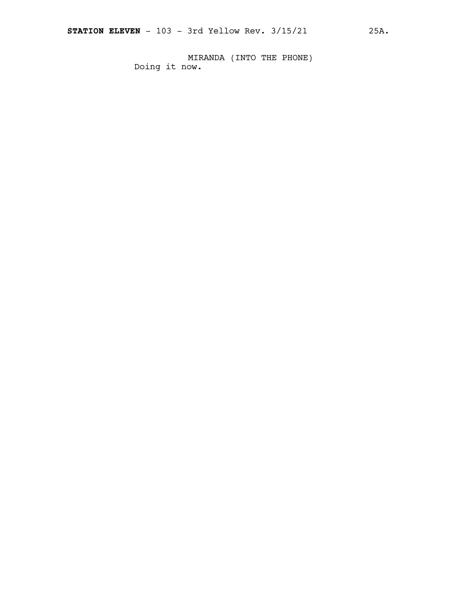MIRANDA (INTO THE PHONE) Doing it now.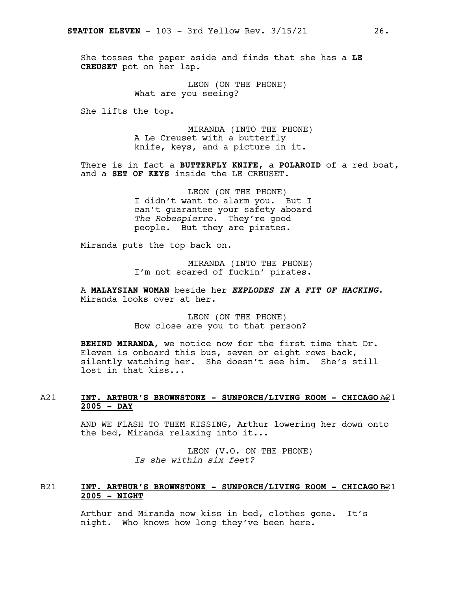She tosses the paper aside and finds that she has a **LE CREUSET** pot on her lap.

> LEON (ON THE PHONE) What are you seeing?

She lifts the top.

MIRANDA (INTO THE PHONE) A Le Creuset with a butterfly knife, keys, and a picture in it.

There is in fact a **BUTTERFLY KNIFE,** a **POLAROID** of a red boat, and a **SET OF KEYS** inside the LE CREUSET.

> LEON (ON THE PHONE) I didn't want to alarm you. But I can't guarantee your safety aboard *The Robespierre.* They're good people. But they are pirates.

Miranda puts the top back on.

MIRANDA (INTO THE PHONE) I'm not scared of fuckin' pirates.

A **MALAYSIAN WOMAN** beside her *EXPLODES IN A FIT OF HACKING*. Miranda looks over at her.

> LEON (ON THE PHONE) How close are you to that person?

**BEHIND MIRANDA,** we notice now for the first time that Dr. Eleven is onboard this bus, seven or eight rows back, silently watching her. She doesn't see him. She's still lost in that kiss...

### A21 **INT. ARTHUR'S BROWNSTONE - SUNPORCH/LIVING ROOM - CHICAGO** A21 **- 2005 - DAY**

AND WE FLASH TO THEM KISSING, Arthur lowering her down onto the bed, Miranda relaxing into it...

> LEON (V.O. ON THE PHONE) *Is she within six feet?*

### B21 **INT. ARTHUR'S BROWNSTONE - SUNPORCH/LIVING ROOM - CHICAGO** B21 **- 2005 - NIGHT**

Arthur and Miranda now kiss in bed, clothes gone. It's night. Who knows how long they've been here.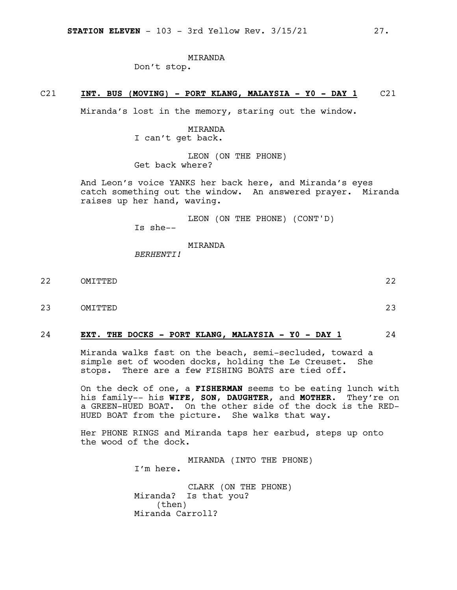### MIRANDA

Don't stop.

### C21 **INT. BUS (MOVING) - PORT KLANG, MALAYSIA - Y0 - DAY 1** C21

Miranda's lost in the memory, staring out the window.

MIRANDA I can't get back.

LEON (ON THE PHONE) Get back where?

And Leon's voice YANKS her back here, and Miranda's eyes catch something out the window. An answered prayer. Miranda raises up her hand, waving.

> LEON (ON THE PHONE) (CONT'D) Is she--

MIRANDA

*BERHENTI!*

- 22 OMITTED 22
- 23 OMITTED 23

### 24 **EXT. THE DOCKS - PORT KLANG, MALAYSIA - Y0 - DAY 1** 24

Miranda walks fast on the beach, semi-secluded, toward a simple set of wooden docks, holding the Le Creuset. She stops. There are a few FISHING BOATS are tied off.

On the deck of one, a **FISHERMAN** seems to be eating lunch with his family-- his **WIFE**, **SON**, **DAUGHTER**, and **MOTHER**. They're on a GREEN-HUED BOAT. On the other side of the dock is the RED-HUED BOAT from the picture. She walks that way.

Her PHONE RINGS and Miranda taps her earbud, steps up onto the wood of the dock.

> MIRANDA (INTO THE PHONE) I'm here. CLARK (ON THE PHONE) Miranda? Is that you? (then) Miranda Carroll?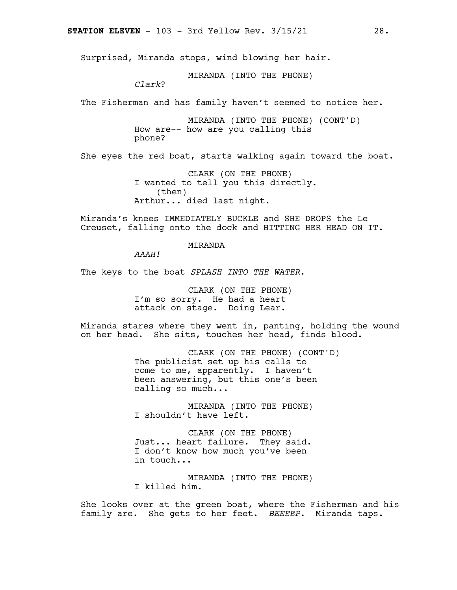Surprised, Miranda stops, wind blowing her hair.

MIRANDA (INTO THE PHONE)

*Clark*?

The Fisherman and has family haven't seemed to notice her.

MIRANDA (INTO THE PHONE) (CONT'D) How are-- how are you calling this phone?

She eyes the red boat, starts walking again toward the boat.

CLARK (ON THE PHONE) I wanted to tell you this directly. (then) Arthur... died last night.

Miranda's knees IMMEDIATELY BUCKLE and SHE DROPS the Le Creuset, falling onto the dock and HITTING HER HEAD ON IT.

MIRANDA

*AAAH!*

The keys to the boat *SPLASH INTO THE WATER*.

CLARK (ON THE PHONE) I'm so sorry. He had a heart attack on stage. Doing Lear.

Miranda stares where they went in, panting, holding the wound on her head. She sits, touches her head, finds blood.

> CLARK (ON THE PHONE) (CONT'D) The publicist set up his calls to come to me, apparently. I haven't been answering, but this one's been calling so much...

MIRANDA (INTO THE PHONE) I shouldn't have left.

CLARK (ON THE PHONE) Just... heart failure. They said. I don't know how much you've been in touch...

MIRANDA (INTO THE PHONE) I killed him.

She looks over at the green boat, where the Fisherman and his family are. She gets to her feet. *BEEEEP.* Miranda taps.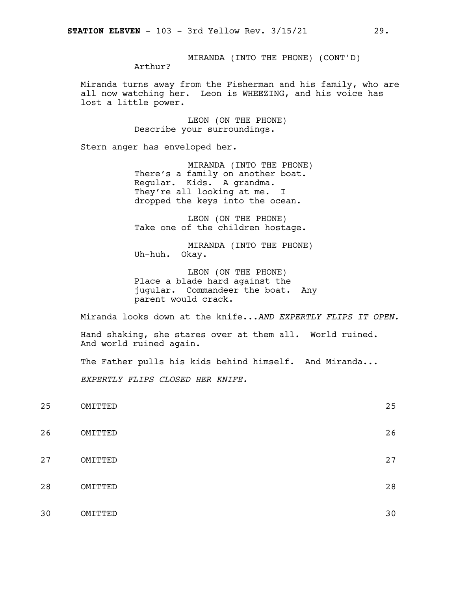MIRANDA (INTO THE PHONE) (CONT'D) Arthur?

Miranda turns away from the Fisherman and his family, who are all now watching her. Leon is WHEEZING, and his voice has lost a little power.

> LEON (ON THE PHONE) Describe your surroundings.

Stern anger has enveloped her.

MIRANDA (INTO THE PHONE) There's a family on another boat. Regular. Kids. A grandma. They're all looking at me. I dropped the keys into the ocean.

LEON (ON THE PHONE) Take one of the children hostage.

MIRANDA (INTO THE PHONE) Uh-huh. Okay.

LEON (ON THE PHONE) Place a blade hard against the jugular. Commandeer the boat. Any parent would crack.

Miranda looks down at the knife...*AND EXPERTLY FLIPS IT OPEN.*

Hand shaking, she stares over at them all. World ruined. And world ruined again.

The Father pulls his kids behind himself. And Miranda...

*EXPERTLY FLIPS CLOSED HER KNIFE.*

| 25 | OMITTED | 25 |
|----|---------|----|
| 26 | OMITTED | 26 |
| 27 | OMITTED | 27 |
| 28 | OMITTED | 28 |
| 30 | OMITTED | 30 |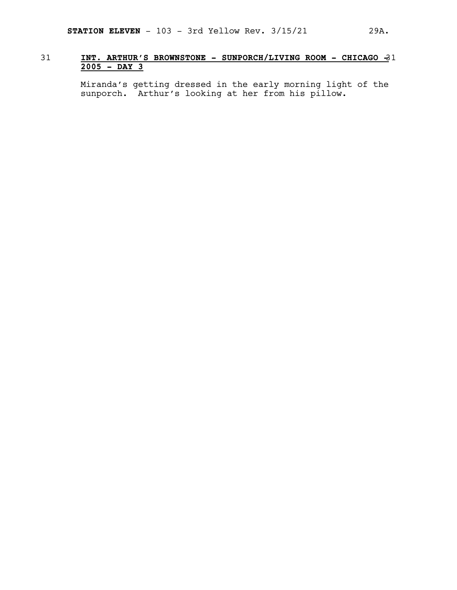### 31 **INT. ARTHUR'S BROWNSTONE - SUNPORCH/LIVING ROOM - CHICAGO -**31 **2005 - DAY 3**

Miranda's getting dressed in the early morning light of the sunporch. Arthur's looking at her from his pillow.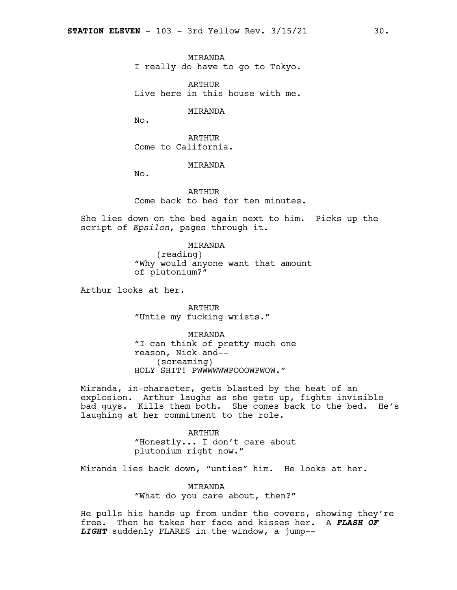MIRANDA I really do have to go to Tokyo.

ARTHUR Live here in this house with me.

MIRANDA

No.

ARTHUR Come to California.

MIRANDA

No.

ARTHUR Come back to bed for ten minutes.

She lies down on the bed again next to him. Picks up the script of *Epsilon*, pages through it.

> MIRANDA (reading) "Why would anyone want that amount of plutonium?"

Arthur looks at her.

ARTHUR "Untie my fucking wrists."

MIRANDA "I can think of pretty much one reason, Nick and-- (screaming) HOLY SHIT! PWWWWWWPOOOWPWOW."

Miranda, in-character, gets blasted by the heat of an explosion. Arthur laughs as she gets up, fights invisible bad guys. Kills them both. She comes back to the bed. He's laughing at her commitment to the role.

> ARTHUR "Honestly... I don't care about plutonium right now."

Miranda lies back down, "unties" him. He looks at her.

MIRANDA "What do you care about, then?"

He pulls his hands up from under the covers, showing they're free. Then he takes her face and kisses her. A *FLASH OF LIGHT* suddenly FLARES in the window, a jump--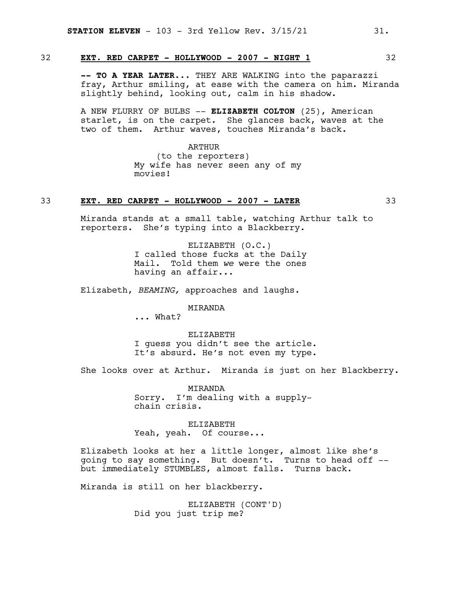32 **EXT. RED CARPET - HOLLYWOOD - 2007 - NIGHT 1** 32

**-- TO A YEAR LATER...** THEY ARE WALKING into the paparazzi fray, Arthur smiling, at ease with the camera on him. Miranda slightly behind, looking out, calm in his shadow.

A NEW FLURRY OF BULBS -- **ELIZABETH COLTON** (25), American starlet, is on the carpet. She glances back, waves at the two of them. Arthur waves, touches Miranda's back.

> ARTHUR (to the reporters) My wife has never seen any of my movies!

### 33 **EXT. RED CARPET - HOLLYWOOD - 2007 - LATER** 33

Miranda stands at a small table, watching Arthur talk to reporters. She's typing into a Blackberry.

> ELIZABETH (O.C.) I called those fucks at the Daily Mail. Told them *we* were the ones having an affair...

Elizabeth, *BEAMING,* approaches and laughs.

MIRANDA

... What?

ELIZABETH I guess you didn't see the article. It's absurd. He's not even my type.

She looks over at Arthur. Miranda is just on her Blackberry.

MIRANDA Sorry. I'm dealing with a supplychain crisis.

ELIZABETH Yeah, yeah. Of course...

Elizabeth looks at her a little longer, almost like she's going to say something. But doesn't. Turns to head off - but immediately STUMBLES, almost falls. Turns back.

Miranda is still on her blackberry.

ELIZABETH (CONT'D) Did you just trip me?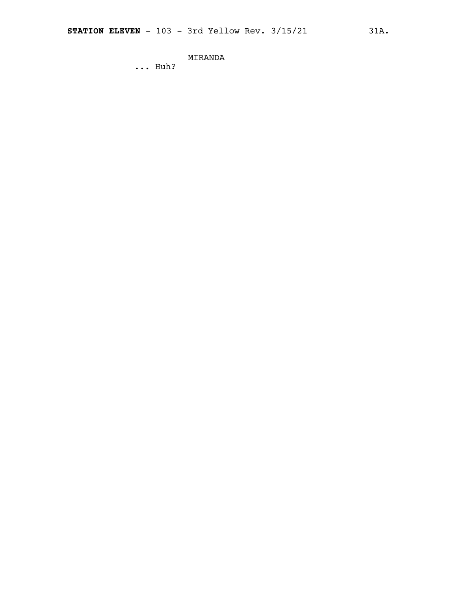### MIRANDA

... Huh?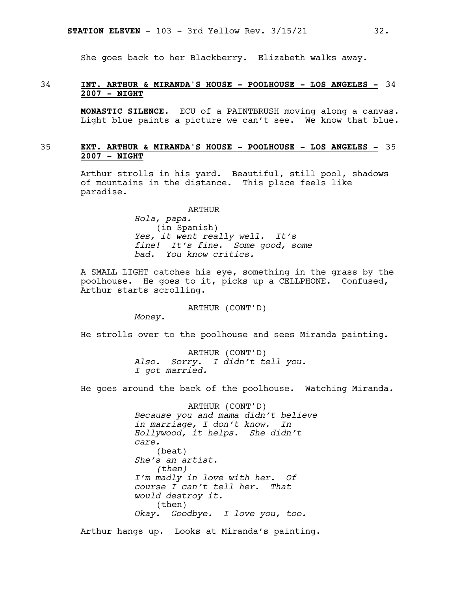She goes back to her Blackberry. Elizabeth walks away.

### 34 **INT. ARTHUR & MIRANDA'S HOUSE - POOLHOUSE - LOS ANGELES -** 34 **2007 - NIGHT**

**MONASTIC SILENCE.** ECU of a PAINTBRUSH moving along a canvas. Light blue paints a picture we can't see. We know that blue.

### 35 **EXT. ARTHUR & MIRANDA'S HOUSE - POOLHOUSE - LOS ANGELES -** 35 **2007 - NIGHT**

Arthur strolls in his yard. Beautiful, still pool, shadows of mountains in the distance. This place feels like paradise.

ARTHUR

*Hola, papa.* (in Spanish) *Yes, it went really well. It's fine! It's fine. Some good, some bad. You know critics.*

A SMALL LIGHT catches his eye, something in the grass by the poolhouse. He goes to it, picks up a CELLPHONE. Confused, Arthur starts scrolling.

ARTHUR (CONT'D)

*Money.*

He strolls over to the poolhouse and sees Miranda painting.

ARTHUR (CONT'D) *Also. Sorry. I didn't tell you. I got married.*

He goes around the back of the poolhouse. Watching Miranda.

ARTHUR (CONT'D) *Because you and mama didn't believe in marriage, I don't know. In Hollywood, it helps. She didn't care.* (beat) *She's an artist. (then) I'm madly in love with her. Of course I can't tell her. That would destroy it.* (then) *Okay. Goodbye. I love you, too.*

Arthur hangs up. Looks at Miranda's painting.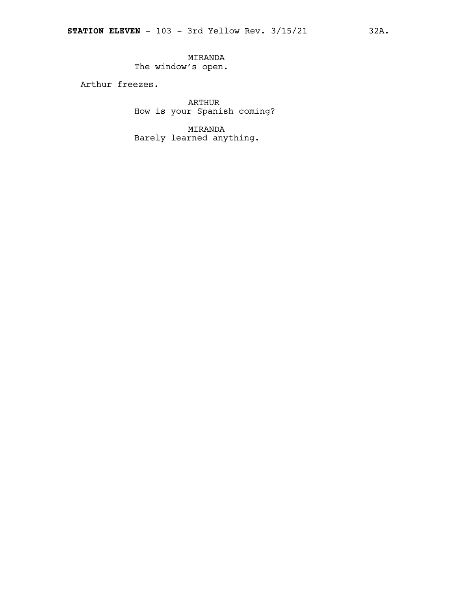MIRANDA The window's open.

Arthur freezes.

ARTHUR How is your Spanish coming?

MIRANDA Barely learned anything.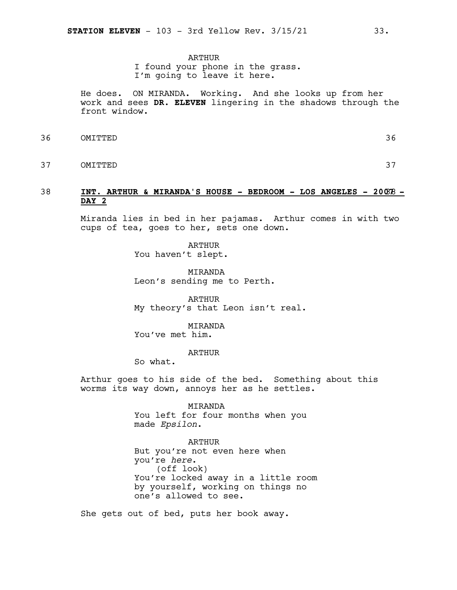### ARTHUR

I found your phone in the grass. I'm going to leave it here.

He does. ON MIRANDA. Working. And she looks up from her work and sees **DR. ELEVEN** lingering in the shadows through the front window.

36 OMITTED 36

37 OMITTED 37

### 38 **INT. ARTHUR & MIRANDA'S HOUSE - BEDROOM - LOS ANGELES - 200**38**7 - DAY 2**

Miranda lies in bed in her pajamas. Arthur comes in with two cups of tea, goes to her, sets one down.

> ARTHUR You haven't slept.

**MTRANDA** Leon's sending me to Perth.

ARTHUR My theory's that Leon isn't real.

MIRANDA

You've met him.

ARTHUR

So what.

Arthur goes to his side of the bed. Something about this worms its way down, annoys her as he settles.

> MIRANDA You left for four months when you made *Epsilon*.

ARTHUR But you're not even here when you're *here*. (off look) You're locked away in a little room by yourself, working on things no one's allowed to see.

She gets out of bed, puts her book away.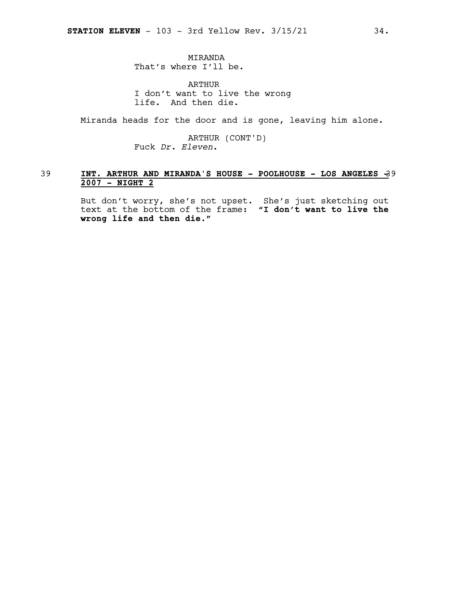MIRANDA That's where I'll be.

ARTHUR I don't want to live the wrong life. And then die.

Miranda heads for the door and is gone, leaving him alone.

ARTHUR (CONT'D) Fuck *Dr. Eleven*.

### 39 **INT. ARTHUR AND MIRANDA'S HOUSE - POOLHOUSE - LOS ANGELES -**39 **2007 - NIGHT 2**

But don't worry, she's not upset. She's just sketching out text at the bottom of the frame: **"I don't want to live the wrong life and then die."**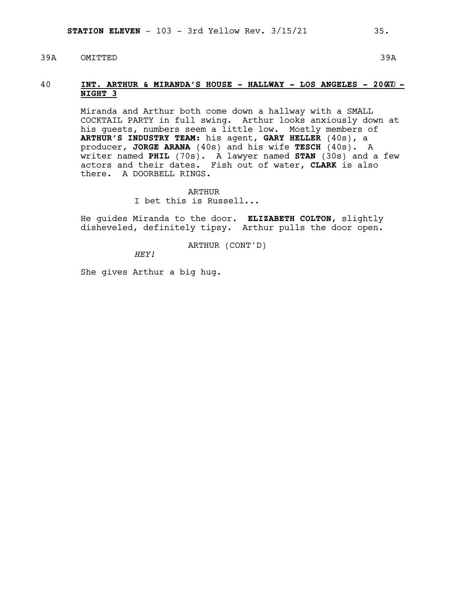### 39A OMITTED 39A

### 40 **INT. ARTHUR & MIRANDA'S HOUSE - HALLWAY - LOS ANGELES - 200**40**7 - NIGHT 3**

Miranda and Arthur both come down a hallway with a SMALL COCKTAIL PARTY in full swing. Arthur looks anxiously down at his quests, numbers seem a little low. Mostly members of **ARTHUR'S INDUSTRY TEAM**: his agent, **GARY HELLER** (40s), a producer, **JORGE ARANA** (40s) and his wife **TESCH** (40s). A writer named **PHIL** (70s). A lawyer named **STAN** (30s) and a few actors and their dates. Fish out of water, **CLARK** is also there. A DOORBELL RINGS.

> ARTHUR I bet this is Russell...

He guides Miranda to the door. **ELIZABETH COLTON**, slightly disheveled, definitely tipsy**.** Arthur pulls the door open.

ARTHUR (CONT'D)

*HEY!*

She gives Arthur a big hug.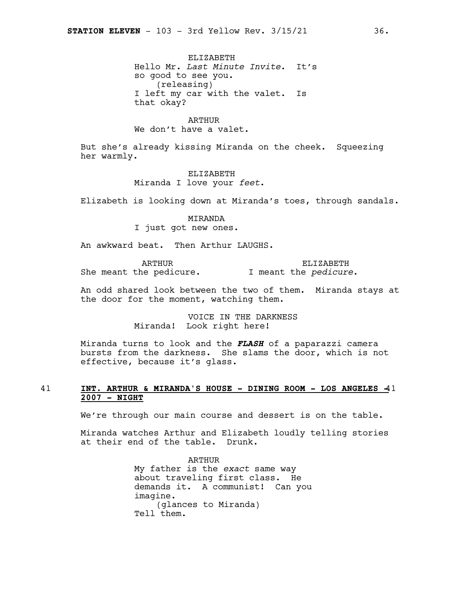ELIZABETH Hello Mr. *Last Minute Invite*. It's so good to see you. (releasing) I left my car with the valet. Is that okay?

ARTHUR We don't have a valet.

But she's already kissing Miranda on the cheek. Squeezing her warmly.

> ELIZABETH Miranda I love your *feet*.

Elizabeth is looking down at Miranda's toes, through sandals.

MIRANDA I just got new ones.

An awkward beat. Then Arthur LAUGHS.

ARTHUR She meant the pedicure. I meant the *pedicure*.

ELIZABETH

An odd shared look between the two of them. Miranda stays at the door for the moment, watching them.

> VOICE IN THE DARKNESS Miranda! Look right here!

Miranda turns to look and the *FLASH* of a paparazzi camera bursts from the darkness. She slams the door, which is not effective, because it's glass.

### 41 **INT. ARTHUR & MIRANDA'S HOUSE - DINING ROOM - LOS ANGELES -**41 **2007 - NIGHT**

We're through our main course and dessert is on the table.

Miranda watches Arthur and Elizabeth loudly telling stories at their end of the table. Drunk.

> ARTHUR My father is the *exact* same way about traveling first class. He demands it. A communist! Can you imagine. (glances to Miranda) Tell them.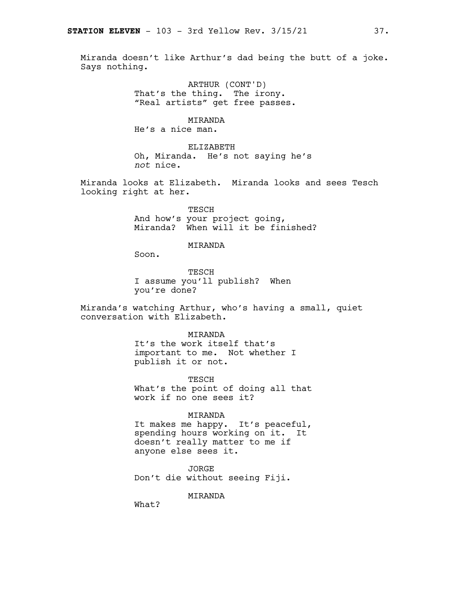Miranda doesn't like Arthur's dad being the butt of a joke. Says nothing.

> ARTHUR (CONT'D) That's the thing. The irony. "Real artists" get free passes.

### MIRANDA

He's a nice man.

ELIZABETH Oh, Miranda. He's not saying he's *not* nice.

Miranda looks at Elizabeth. Miranda looks and sees Tesch looking right at her.

> TESCH And how's your project going, Miranda? When will it be finished?

### MIRANDA

Soon.

TESCH I assume you'll publish? When you're done?

Miranda's watching Arthur, who's having a small, quiet conversation with Elizabeth.

### MIRANDA It's the work itself that's important to me. Not whether I publish it or not.

TESCH What's the point of doing all that work if no one sees it?

### MIRANDA

It makes me happy. It's peaceful, spending hours working on it. It doesn't really matter to me if anyone else sees it.

**JORGE** Don't die without seeing Fiji.

MIRANDA

What?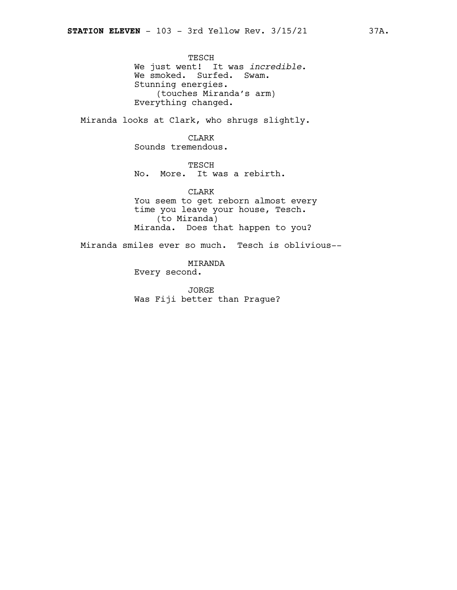TESCH We just went! It was *incredible*. We smoked. Surfed. Swam. Stunning energies. (touches Miranda's arm) Everything changed.

Miranda looks at Clark, who shrugs slightly.

CLARK Sounds tremendous.

TESCH No. More. It was a rebirth.

CLARK You seem to get reborn almost every time you leave your house, Tesch. (to Miranda) Miranda. Does that happen to you?

Miranda smiles ever so much. Tesch is oblivious--

MIRANDA Every second.

JORGE Was Fiji better than Prague?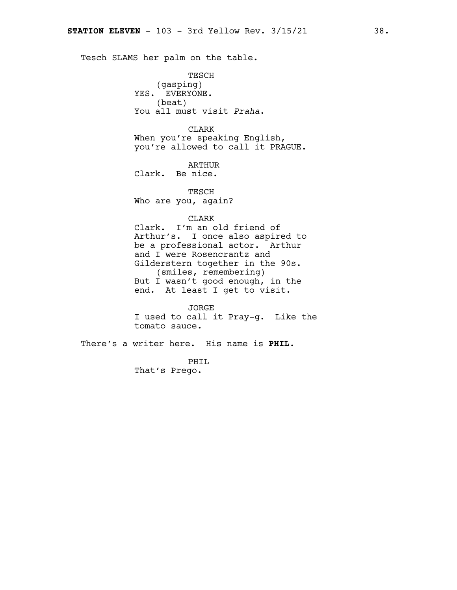Tesch SLAMS her palm on the table.

TESCH (gasping) YES. EVERYONE. (beat) You all must visit *Praha*.

CLARK When you're speaking English, you're allowed to call it PRAGUE.

ARTHUR

Clark. Be nice.

TESCH Who are you, again?

CLARK

Clark. I'm an old friend of Arthur's. I once also aspired to be a professional actor. Arthur and I were Rosencrantz and Gilderstern together in the 90s. (smiles, remembering) But I wasn't good enough, in the end. At least I get to visit.

JORGE I used to call it Pray-g. Like the tomato sauce.

There's a writer here. His name is **PHIL**.

PHIL That's Prego.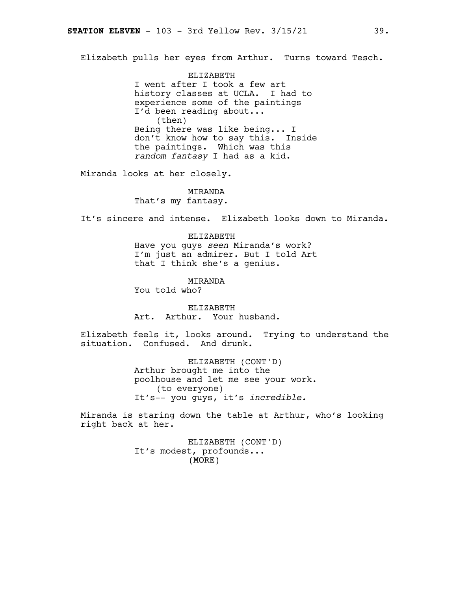Elizabeth pulls her eyes from Arthur. Turns toward Tesch.

ELIZABETH I went after I took a few art history classes at UCLA. I had to experience some of the paintings I'd been reading about... (then) Being there was like being... I don't know how to say this. Inside the paintings. Which was this *random fantasy* I had as a kid.

Miranda looks at her closely.

MIRANDA That's my fantasy.

It's sincere and intense. Elizabeth looks down to Miranda.

ELIZABETH Have you guys *seen* Miranda's work? I'm just an admirer. But I told Art that I think she's a genius.

MIRANDA You told who?

ELIZABETH Art. Arthur. Your husband.

Elizabeth feels it, looks around. Trying to understand the situation. Confused. And drunk.

> ELIZABETH (CONT'D) Arthur brought me into the poolhouse and let me see your work. (to everyone) It's-- you guys, it's *incredible.*

Miranda is staring down the table at Arthur, who's looking right back at her.

> (MORE) ELIZABETH (CONT'D) It's modest, profounds...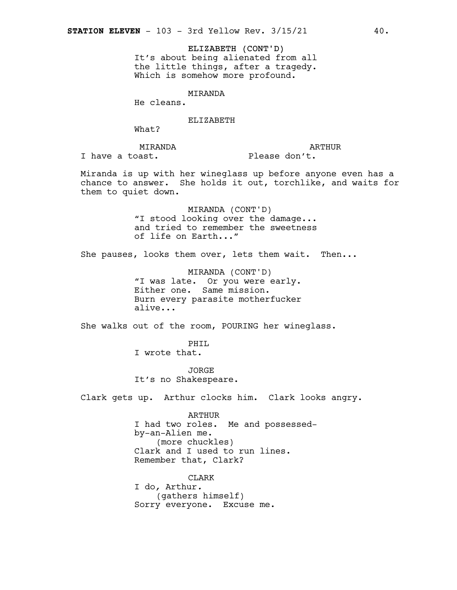ELIZABETH (CONT'D) It's about being alienated from all the little things, after a tragedy. Which is somehow more profound.

MIRANDA

He cleans.

ELIZABETH

What?

ARTHUR

MIRANDA I have a toast.

Please don't.

Miranda is up with her wineglass up before anyone even has a chance to answer. She holds it out, torchlike, and waits for them to quiet down.

> MIRANDA (CONT'D) "I stood looking over the damage... and tried to remember the sweetness of life on Earth..."

She pauses, looks them over, lets them wait. Then...

MIRANDA (CONT'D) "I was late. Or you were early. Either one. Same mission. Burn every parasite motherfucker alive...

She walks out of the room, POURING her wineglass.

PHIL I wrote that.

**JORGE** It's no Shakespeare.

Clark gets up. Arthur clocks him. Clark looks angry.

ARTHUR

I had two roles. Me and possessedby-an-Alien me. (more chuckles) Clark and I used to run lines. Remember that, Clark?

CLARK I do*,* Arthur*.* (gathers himself) Sorry everyone. Excuse me.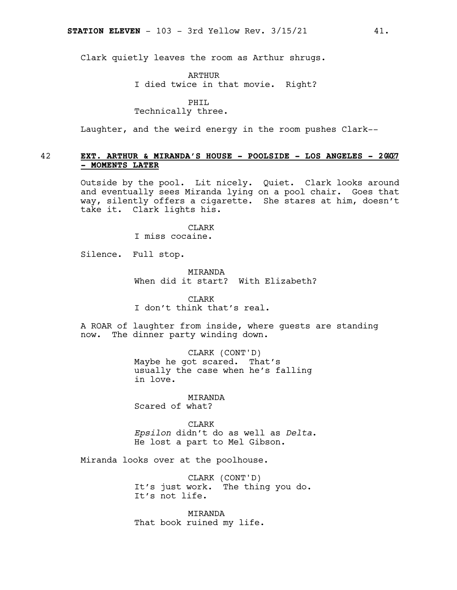Clark quietly leaves the room as Arthur shrugs.

ARTHUR

I died twice in that movie. Right?

PHIL

Technically three.

Laughter, and the weird energy in the room pushes Clark--

### 42 **EXT. ARTHUR & MIRANDA'S HOUSE - POOLSIDE - LOS ANGELES - 20**42**07 - MOMENTS LATER**

Outside by the pool. Lit nicely. Quiet. Clark looks around and eventually sees Miranda lying on a pool chair. Goes that way, silently offers a cigarette. She stares at him, doesn't take it. Clark lights his.

> **CLARK** I miss cocaine.

Silence. Full stop.

MIRANDA When did it start? With Elizabeth?

CLARK I don't think that's real.

A ROAR of laughter from inside, where guests are standing now. The dinner party winding down.

> CLARK (CONT'D) Maybe he got scared. That's usually the case when he's falling in love.

MIRANDA Scared of what?

**CLARK** *Epsilon* didn't do as well as *Delta*. He lost a part to Mel Gibson.

Miranda looks over at the poolhouse.

CLARK (CONT'D) It's just work. The thing you do. It's not life.

**MTRANDA** That book ruined my life.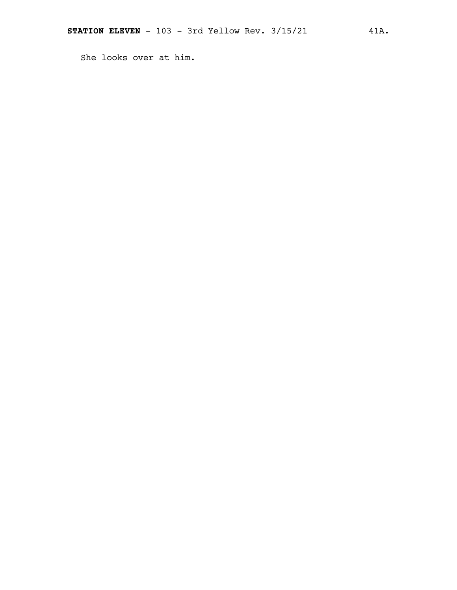She looks over at him.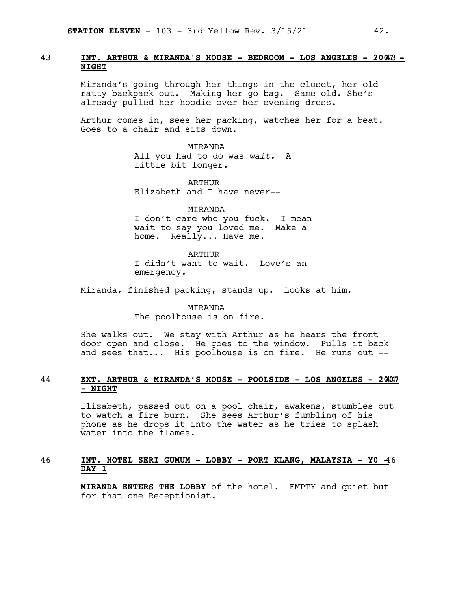### 43 **INT. ARTHUR & MIRANDA'S HOUSE - BEDROOM - LOS ANGELES - 200**43**7 - NIGHT**

Miranda's going through her things in the closet, her old ratty backpack out. Making her go-bag. Same old. She's already pulled her hoodie over her evening dress.

Arthur comes in, sees her packing, watches her for a beat. Goes to a chair and sits down.

> MIRANDA All you had to do was *wait.* A little bit longer.

ARTHUR Elizabeth and I have never--

MIRANDA I don't care who you fuck. I mean wait to say you loved me. Make a home. Really... Have me.

ARTHUR I didn't want to wait. Love's an emergency.

Miranda, finished packing, stands up. Looks at him.

MIRANDA The poolhouse is on fire.

She walks out. We stay with Arthur as he hears the front door open and close. He goes to the window. Pulls it back and sees that... His poolhouse is on fire. He runs out --

### 44 **EXT. ARTHUR & MIRANDA'S HOUSE - POOLSIDE - LOS ANGELES - 20**44**07 - NIGHT**

Elizabeth, passed out on a pool chair, awakens, stumbles out to watch a fire burn. She sees Arthur's fumbling of his phone as he drops it into the water as he tries to splash water into the flames.

### 46 **INT. HOTEL SERI GUMUM - LOBBY - PORT KLANG, MALAYSIA - Y0 -**46 **DAY 1**

**MIRANDA ENTERS THE LOBBY** of the hotel. EMPTY and quiet but for that one Receptionist.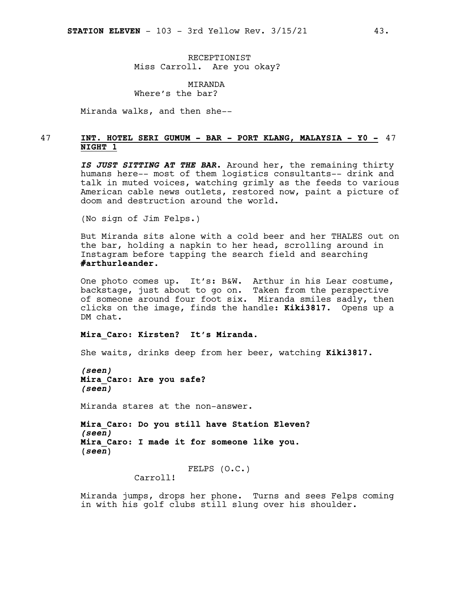RECEPTIONIST Miss Carroll. Are you okay?

MIRANDA Where's the bar?

Miranda walks, and then she--

### 47 **INT. HOTEL SERI GUMUM - BAR - PORT KLANG, MALAYSIA - Y0 -** 47 **NIGHT 1**

*IS JUST SITTING AT THE BAR.* Around her, the remaining thirty humans here-- most of them logistics consultants-- drink and talk in muted voices, watching grimly as the feeds to various American cable news outlets, restored now, paint a picture of doom and destruction around the world.

(No sign of Jim Felps.)

But Miranda sits alone with a cold beer and her THALES out on the bar, holding a napkin to her head, scrolling around in Instagram before tapping the search field and searching **#arthurleander**.

One photo comes up. It's: B&W. Arthur in his Lear costume, backstage, just about to go on. Taken from the perspective of someone around four foot six. Miranda smiles sadly, then clicks on the image, finds the handle: **Kiki3817**. Opens up a DM chat.

### **Mira\_Caro: Kirsten? It's Miranda.**

She waits, drinks deep from her beer, watching **Kiki3817**.

*(seen)* **Mira\_Caro: Are you safe?** *(seen)*

Miranda stares at the non-answer.

**Mira\_Caro: Do you still have Station Eleven?** *(seen)* **Mira\_Caro: I made it for someone like you. (***seen***)**

FELPS (O.C.)

Carroll!

Miranda jumps, drops her phone. Turns and sees Felps coming in with his golf clubs still slung over his shoulder.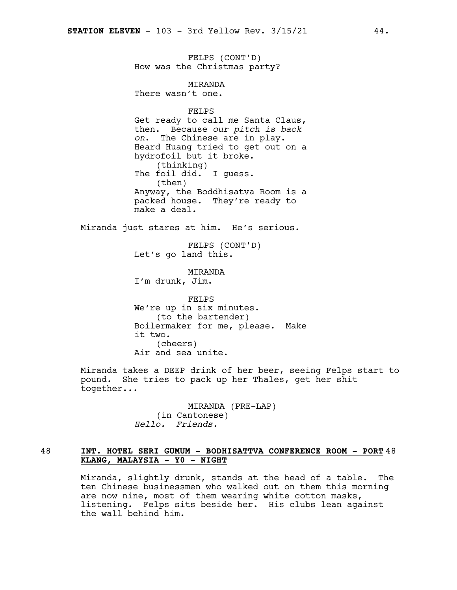FELPS (CONT'D) How was the Christmas party?

MIRANDA There wasn't one.

FELPS

Get ready to call me Santa Claus, then. Because *our pitch is back on*. The Chinese are in play. Heard Huang tried to get out on a hydrofoil but it broke. (thinking) The foil did. I guess. (then) Anyway, the Boddhisatva Room is a packed house. They're ready to make a deal.

Miranda just stares at him. He's serious.

FELPS (CONT'D) Let's go land this.

**MTRANDA** I'm drunk, Jim.

FELPS We're up in six minutes. (to the bartender) Boilermaker for me, please. Make it two. (cheers) Air and sea unite.

Miranda takes a DEEP drink of her beer, seeing Felps start to pound. She tries to pack up her Thales, get her shit together...

> MIRANDA (PRE-LAP) (in Cantonese) *Hello. Friends.*

### 48 **INT. HOTEL SERI GUMUM - BODHISATTVA CONFERENCE ROOM - PORT** 48 **KLANG, MALAYSIA - Y0 - NIGHT**

Miranda, slightly drunk, stands at the head of a table. The ten Chinese businessmen who walked out on them this morning are now nine, most of them wearing white cotton masks, listening. Felps sits beside her. His clubs lean against the wall behind him.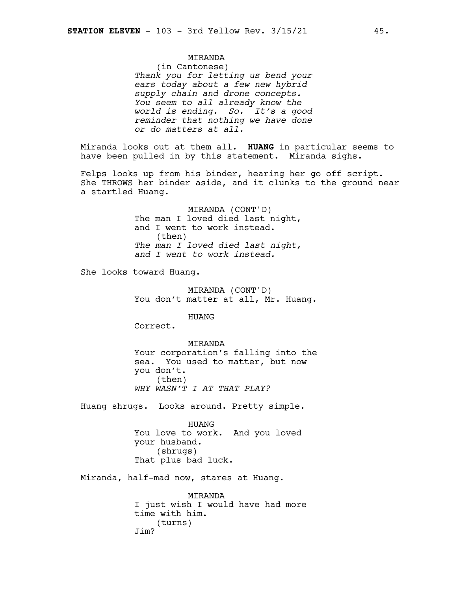### MIRANDA

(in Cantonese) *Thank you for letting us bend your ears today about a few new hybrid supply chain and drone concepts. You seem to all already know the world is ending. So. It's a good reminder that nothing we have done or do matters at all.*

Miranda looks out at them all. **HUANG** in particular seems to have been pulled in by this statement. Miranda sighs.

Felps looks up from his binder, hearing her go off script. She THROWS her binder aside, and it clunks to the ground near a startled Huang.

> MIRANDA (CONT'D) The man I loved died last night, and I went to work instead. (then) *The man I loved died last night, and I went to work instead.*

She looks toward Huang.

MIRANDA (CONT'D) You don't matter at all, Mr. Huang.

HUANG

Correct.

MIRANDA Your corporation's falling into the sea. You used to matter, but now you don't. (then) *WHY WASN'T I AT THAT PLAY?*

Huang shrugs. Looks around. Pretty simple.

HUANG You love to work. And you loved your husband. (shrugs) That plus bad luck.

Miranda, half-mad now, stares at Huang.

MIRANDA I just wish I would have had more time with him. (turns) Jim?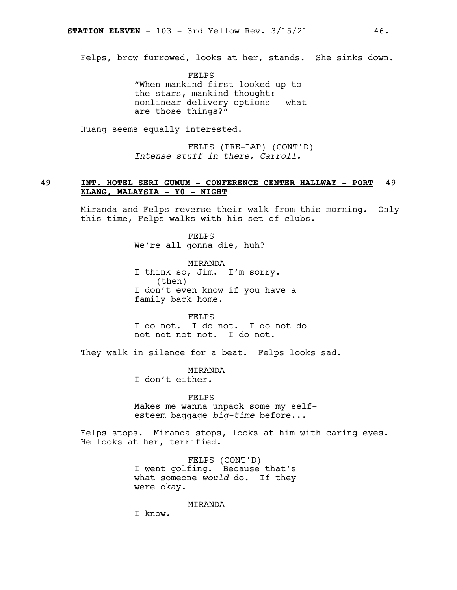Felps, brow furrowed, looks at her, stands. She sinks down.

FELPS "When mankind first looked up to the stars, mankind thought: nonlinear delivery options-- what are those things?"

Huang seems equally interested.

FELPS (PRE-LAP) (CONT'D) *Intense stuff in there, Carroll.*

### 49 **INT. HOTEL SERI GUMUM - CONFERENCE CENTER HALLWAY - PORT** 49 **KLANG, MALAYSIA - Y0 - NIGHT**

Miranda and Felps reverse their walk from this morning. Only this time, Felps walks with his set of clubs.

> FELPS We're all gonna die, huh?

MIRANDA I think so, Jim. I'm sorry. (then) I don't even know if you have a family back home.

FELPS I do not. I do not. I do not do not not not not. I do not.

They walk in silence for a beat. Felps looks sad.

**MTRANDA** I don't either.

FELPS Makes me wanna unpack some my selfesteem baggage *big-time* before...

Felps stops. Miranda stops, looks at him with caring eyes. He looks at her, terrified.

> FELPS (CONT'D) I went golfing. Because that's what someone *would* do. If they were okay.

> > MIRANDA

I know.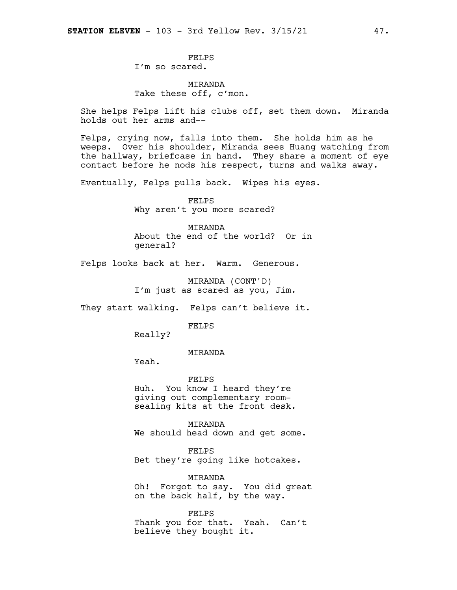FELPS I'm so scared.

MIRANDA Take these off, c'mon.

She helps Felps lift his clubs off, set them down. Miranda holds out her arms and--

Felps, crying now, falls into them. She holds him as he weeps. Over his shoulder, Miranda sees Huang watching from the hallway, briefcase in hand. They share a moment of eye contact before he nods his respect, turns and walks away.

Eventually, Felps pulls back. Wipes his eyes.

FELPS Why aren't you more scared?

MIRANDA About the end of the world? Or in general?

Felps looks back at her. Warm. Generous.

MIRANDA (CONT'D) I'm just as scared as you, Jim.

They start walking. Felps can't believe it.

FELPS

Really?

### MIRANDA

Yeah.

FELPS Huh. You know I heard they're giving out complementary roomsealing kits at the front desk.

MIRANDA We should head down and get some.

FELPS Bet they're going like hotcakes.

MIRANDA Oh! Forgot to say. You did great on the back half, by the way.

FELPS Thank you for that. Yeah. Can't believe they bought it.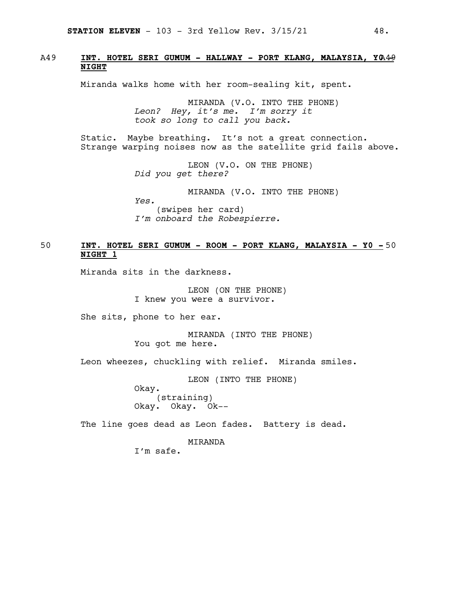### A49 **INT. HOTEL SERI GUMUM - HALLWAY - PORT KLANG, MALAYSIA, Y0**A49**- NIGHT**

Miranda walks home with her room-sealing kit, spent.

MIRANDA (V.O. INTO THE PHONE) *Leon? Hey, it's me. I'm sorry it took so long to call you back.*

Static. Maybe breathing. It's not a great connection. Strange warping noises now as the satellite grid fails above.

> LEON (V.O. ON THE PHONE) *Did you get there?*

MIRANDA (V.O. INTO THE PHONE) *Yes.* (swipes her card) *I'm onboard the Robespierre.*

### 50 **INT. HOTEL SERI GUMUM - ROOM - PORT KLANG, MALAYSIA - Y0 -** 50 **NIGHT 1**

Miranda sits in the darkness.

LEON (ON THE PHONE) I knew you were a survivor.

She sits, phone to her ear.

MIRANDA (INTO THE PHONE) You got me here.

Leon wheezes, chuckling with relief. Miranda smiles.

LEON (INTO THE PHONE)

Okay. (straining) Okay. Okay. Ok--

The line goes dead as Leon fades. Battery is dead.

MIRANDA

I'm safe.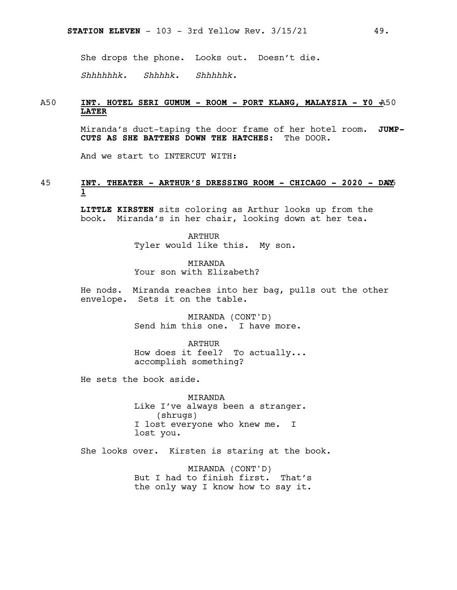She drops the phone. Looks out. Doesn't die.

*Shhhhhhk. Shhhhk. Shhhhhk.*

### A50 **INT. HOTEL SERI GUMUM - ROOM - PORT KLANG, MALAYSIA - Y0 -**A50 **LATER**

Miranda's duct-taping the door frame of her hotel room. **JUMP-CUTS AS SHE BATTENS DOWN THE HATCHES**: The DOOR.

And we start to INTERCUT WITH:

### 45 **INT. THEATER - ARTHUR'S DRESSING ROOM - CHICAGO - 2020 - DA**45**Y 1**

**LITTLE KIRSTEN** sits coloring as Arthur looks up from the book. Miranda's in her chair, looking down at her tea.

> ARTHUR Tyler would like this. My son.

MIRANDA Your son with Elizabeth?

He nods. Miranda reaches into her bag, pulls out the other envelope. Sets it on the table.

> MIRANDA (CONT'D) Send him this one. I have more.

ARTHUR How does it feel? To actually... accomplish something?

He sets the book aside.

MIRANDA Like I've always been a stranger. (shrugs) I lost everyone who knew me. I lost you.

She looks over. Kirsten is staring at the book.

MIRANDA (CONT'D) But I had to finish first. That's the only way I know how to say it.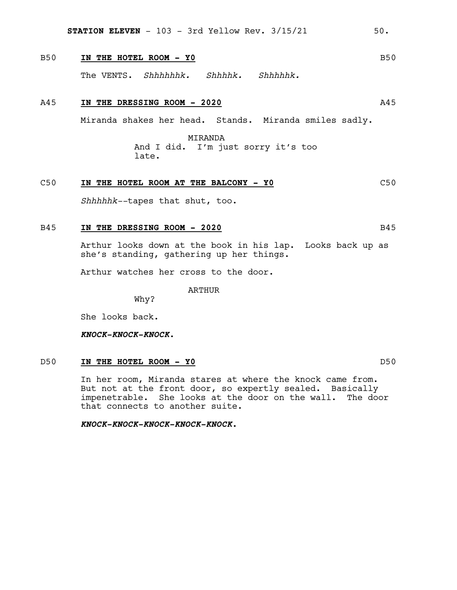**STATION ELEVEN**  $-103 - 3rd$  Yellow Rev.  $3/15/21$  50.

### B50 **IN THE HOTEL ROOM - Y0** B50

The VENTS. *Shhhhhhk. Shhhhk. Shhhhhk.*

### A45 **IN THE DRESSING ROOM - 2020** A45

Miranda shakes her head. Stands. Miranda smiles sadly.

MIRANDA And I did. I'm just sorry it's too late.

### C50 **IN THE HOTEL ROOM AT THE BALCONY - Y0** C50

*Shhhhhk--*tapes that shut, too.

### B45 **IN THE DRESSING ROOM - 2020** B45

Arthur looks down at the book in his lap. Looks back up as she's standing, gathering up her things.

Arthur watches her cross to the door.

ARTHUR

Why?

She looks back.

*KNOCK-KNOCK-KNOCK.*

### D50 **IN THE HOTEL ROOM - Y0** D50

In her room, Miranda stares at where the knock came from. But not at the front door, so expertly sealed. Basically impenetrable. She looks at the door on the wall. The door that connects to another suite.

*KNOCK-KNOCK-KNOCK-KNOCK-KNOCK.*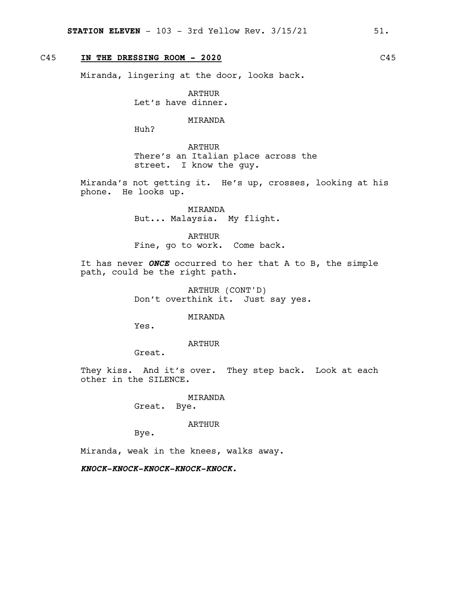### C45 **IN THE DRESSING ROOM - 2020** C45

Miranda, lingering at the door, looks back.

ARTHUR Let's have dinner.

### MIRANDA

Huh?

ARTHUR There's an Italian place across the street. I know the guy.

Miranda's not getting it. He's up, crosses, looking at his phone. He looks up.

> MIRANDA But... Malaysia. My flight.

ARTHUR Fine, go to work. Come back.

It has never *ONCE* occurred to her that A to B, the simple path, could be the right path.

> ARTHUR (CONT'D) Don't overthink it. Just say yes.

> > MIRANDA

Yes.

ARTHUR

Great.

They kiss. And it's over. They step back. Look at each other in the SILENCE.

> MIRANDA Great. Bye.

> > ARTHUR

Bye.

Miranda, weak in the knees, walks away.

*KNOCK-KNOCK-KNOCK-KNOCK-KNOCK.*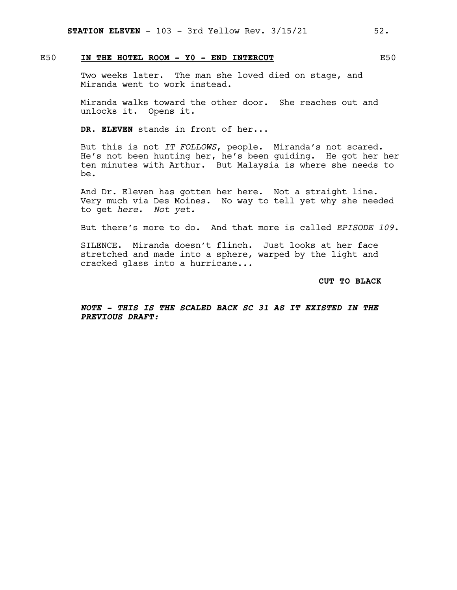### E50 **IN THE HOTEL ROOM - Y0 - END INTERCUT** E50

Two weeks later. The man she loved died on stage, and Miranda went to work instead.

Miranda walks toward the other door. She reaches out and unlocks it. Opens it.

**DR. ELEVEN** stands in front of her...

But this is not *IT FOLLOWS*, people. Miranda's not scared. He's not been hunting her, he's been guiding. He got her her ten minutes with Arthur. But Malaysia is where she needs to be.

And Dr. Eleven has gotten her here. Not a straight line. Very much via Des Moines. No way to tell yet why she needed to get *here. Not yet.*

But there's more to do. And that more is called *EPISODE 109*.

SILENCE. Miranda doesn't flinch. Just looks at her face stretched and made into a sphere, warped by the light and cracked glass into a hurricane...

**CUT TO BLACK**

*NOTE - THIS IS THE SCALED BACK SC 31 AS IT EXISTED IN THE PREVIOUS DRAFT:*